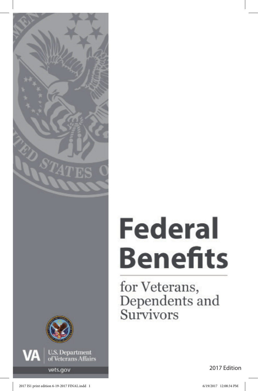



**VA U.S. Department** of Veterans Affairs

vets.gov

# **Federal Benefits**

for Veterans, Dependents and<br>Survivors

2017 Edition

2017 IS1 print edition 6-19-2017 FINAL.indd 1 6/19/2017 12:08:34 PM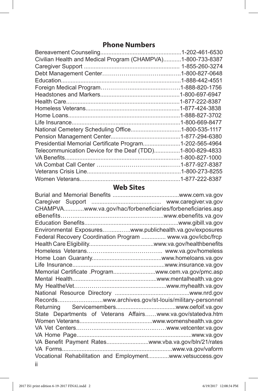### **Phone Numbers**

| Civilian Health and Medical Program (CHAMPVA)1-800-733-8387 |  |
|-------------------------------------------------------------|--|
|                                                             |  |
|                                                             |  |
|                                                             |  |
|                                                             |  |
|                                                             |  |
|                                                             |  |
|                                                             |  |
|                                                             |  |
|                                                             |  |
| National Cemetery Scheduling Office1-800-535-1117           |  |
|                                                             |  |
| Presidential Memorial Certificate Program1-202-565-4964     |  |
| Telecommunication Device for the Deaf (TDD)1-800-829-4833   |  |
|                                                             |  |
|                                                             |  |
|                                                             |  |
|                                                             |  |

## **Web Sites**

| CHAMPVAwww.va.gov/hac/forbeneficiaries/forbeneficiaries.asp  |  |
|--------------------------------------------------------------|--|
|                                                              |  |
|                                                              |  |
| Environmental Exposureswww.publichealth.va.gov/exposures     |  |
| Federal Recovery Coordination Program  www.va.gov/icbc/frcp  |  |
|                                                              |  |
|                                                              |  |
|                                                              |  |
|                                                              |  |
| Memorial Certificate .Programwww.cem.va.gov/pmc.asp          |  |
|                                                              |  |
|                                                              |  |
|                                                              |  |
| Recordswww.archives.gov/st-louis/military-personnel          |  |
|                                                              |  |
| State Departments of Veterans Affairswww.va.gov/statedva.htm |  |
|                                                              |  |
|                                                              |  |
|                                                              |  |
| VA Benefit Payment Rateswww.vba.va.gov/bln/21/rates          |  |
|                                                              |  |
| Vocational Rehabilitation and Employmentwww.vetsuccess.gov   |  |
| ii.                                                          |  |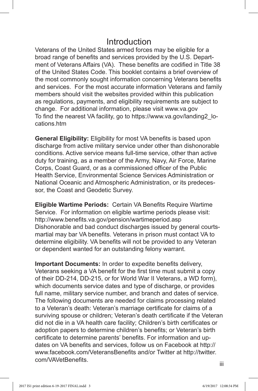## Introduction

Veterans of the United States armed forces may be eligible for a broad range of benefits and services provided by the U.S. Department of Veterans Affairs (VA). These benefits are codified in Title 38 of the United States Code. This booklet contains a brief overview of the most commonly sought information concerning Veterans benefits and services. For the most accurate information Veterans and family members should visit the websites provided within this publication as regulations, payments, and eligibility requirements are subject to change. For additional information, please visit www.va.gov To find the nearest VA facility, go to https://www.va.gov/landing2\_locations.htm

**General Eligibility:** Eligibility for most VA benefits is based upon discharge from active military service under other than dishonorable conditions. Active service means full-time service, other than active duty for training, as a member of the Army, Navy, Air Force, Marine Corps, Coast Guard, or as a commissioned officer of the Public Health Service, Environmental Science Services Administration or National Oceanic and Atmospheric Administration, or its predecessor, the Coast and Geodetic Survey.

**Eligible Wartime Periods:** Certain VA Benefits Require Wartime Service. For information on eligible wartime periods please visit: http://www.benefits.va.gov/pension/wartimeperiod.asp Dishonorable and bad conduct discharges issued by general courtsmartial may bar VA benefits. Veterans in prison must contact VA to determine eligibility. VA benefits will not be provided to any Veteran or dependent wanted for an outstanding felony warrant.

 full name, military service number, and branch and dates of service. **Important Documents:** In order to expedite benefits delivery, Veterans seeking a VA benefit for the first time must submit a copy of their DD-214, DD-215, or for World War II Veterans, a WD form), which documents service dates and type of discharge, or provides The following documents are needed for claims processing related to a Veteran's death: Veteran's marriage certificate for claims of a surviving spouse or children; Veteran's death certificate if the Veteran did not die in a VA health care facility; Children's birth certificates or adoption papers to determine children's benefits; or Veteran's birth certificate to determine parents' benefits. For information and updates on VA benefits and services, follow us on Facebook at http:// www.facebook.com/VeteransBenefits and/or Twitter at http://twitter. com/VAVetBenefits. iii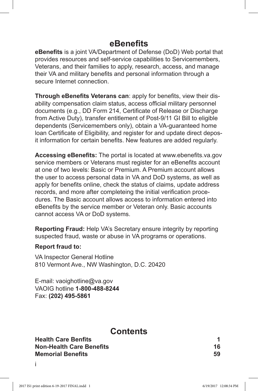# **eBenefits**

**eBenefits** is a joint VA/Department of Defense (DoD) Web portal that provides resources and self-service capabilities to Servicemembers, Veterans, and their families to apply, research, access, and manage their VA and military benefits and personal information through a secure Internet connection.

**Through eBenefits Veterans can**: apply for benefits, view their disability compensation claim status, access official military personnel documents (e.g., DD Form 214, Certificate of Release or Discharge from Active Duty), transfer entitlement of Post-9/11 GI Bill to eligible dependents (Servicemembers only), obtain a VA-guaranteed home loan Certificate of Eligibility, and register for and update direct deposit information for certain benefits. New features are added regularly.

**Accessing eBenefits:** The portal is located at www.ebenefits.va.gov service members or Veterans must register for an eBenefits account at one of two levels: Basic or Premium. A Premium account allows the user to access personal data in VA and DoD systems, as well as apply for benefits online, check the status of claims, update address records, and more after completeing the initial verification procedures. The Basic account allows access to information entered into eBenefits by the service member or Veteran only. Basic accounts cannot access VA or DoD systems.

**Reporting Fraud:** Help VA's Secretary ensure integrity by reporting suspected fraud, waste or abuse in VA programs or operations.

#### **Report fraud to:**

VA Inspector General Hotline 810 Vermont Ave., NW Washington, D.C. 20420

E-mail: vaoighotline@va.gov VAOIG hotline **1-800-488-8244**  Fax: **(202) 495-5861** 

#### **Contents**

| <b>Health Care Benfits</b>      |    |
|---------------------------------|----|
| <b>Non-Health Care Benefits</b> | 16 |
| <b>Memorial Benefits</b>        | 59 |

i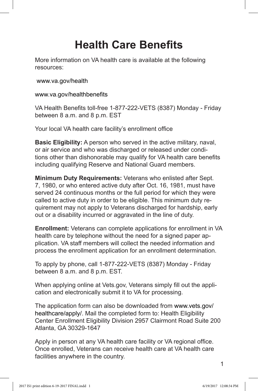# **Health Care Benefits**

More information on VA health care is available at the following resources:

www.va.gov/health

www.va.gov/healthbenefits

VA Health Benefits toll-free 1-877-222-VETS (8387) Monday - Friday between 8 a.m. and 8 p.m. EST

Your local VA health care facility's enrollment office

**Basic Eligibility:** A person who served in the active military, naval, or air service and who was discharged or released under conditions other than dishonorable may qualify for VA health care benefits including qualifying Reserve and National Guard members.

**Minimum Duty Requirements:** Veterans who enlisted after Sept. 7, 1980, or who entered active duty after Oct. 16, 1981, must have served 24 continuous months or the full period for which they were called to active duty in order to be eligible. This minimum duty requirement may not apply to Veterans discharged for hardship, early out or a disability incurred or aggravated in the line of duty.

**Enrollment:** Veterans can complete applications for enrollment in VA health care by telephone without the need for a signed paper application. VA staff members will collect the needed information and process the enrollment application for an enrollment determination.

To apply by phone, call 1-877-222-VETS (8387) Monday - Friday between 8 a.m. and 8 p.m. EST.

When applying online at Vets.gov, Veterans simply fill out the application and electronically submit it to VA for processing.

The application form can also be downloaded from www.vets.gov/ healthcare/apply/. Mail the completed form to: Health Eligibility Center Enrollment Eligibility Division 2957 Clairmont Road Suite 200 Atlanta, GA 30329-1647

Apply in person at any VA health care facility or VA regional office. Once enrolled, Veterans can receive health care at VA health care facilities anywhere in the country.

1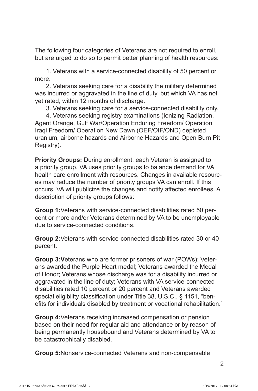The following four categories of Veterans are not required to enroll, but are urged to do so to permit better planning of health resources:

1. Veterans with a service-connected disability of 50 percent or more.

2. Veterans seeking care for a disability the military determined was incurred or aggravated in the line of duty, but which VA has not yet rated, within 12 months of discharge.

3. Veterans seeking care for a service-connected disability only.

4. Veterans seeking registry examinations (Ionizing Radiation, Agent Orange, Gulf War/Operation Enduring Freedom/ Operation Iraqi Freedom/ Operation New Dawn (OEF/OIF/OND) depleted uranium, airborne hazards and Airborne Hazards and Open Burn Pit Registry).

**Priority Groups:** During enrollment, each Veteran is assigned to a priority group. VA uses priority groups to balance demand for VA health care enrollment with resources. Changes in available resources may reduce the number of priority groups VA can enroll. If this occurs, VA will publicize the changes and notify affected enrollees. A description of priority groups follows:

**Group 1:**Veterans with service-connected disabilities rated 50 percent or more and/or Veterans determined by VA to be unemployable due to service-connected conditions.

**Group 2:**Veterans with service-connected disabilities rated 30 or 40 percent.

**Group 3:V**eterans who are former prisoners of war (POWs); Veterans awarded the Purple Heart medal; Veterans awarded the Medal of Honor; Veterans whose discharge was for a disability incurred or aggravated in the line of duty; Veterans with VA service-connected disabilities rated 10 percent or 20 percent and Veterans awarded special eligibility classification under Title 38, U.S.C., § 1151, "benefits for individuals disabled by treatment or vocational rehabilitation."

**Group 4:**Veterans receiving increased compensation or pension based on their need for regular aid and attendance or by reason of being permanently housebound and Veterans determined by VA to be catastrophically disabled.

**Group 5:**Nonservice-connected Veterans and non-compensable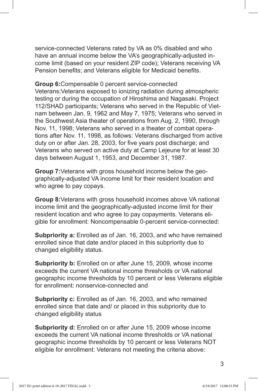service-connected Veterans rated by VA as 0% disabled and who have an annual income below the VA's geographically-adjusted income limit (based on your resident ZIP code); Veterans receiving VA Pension benefits; and Veterans eligible for Medicaid benefits.

**Group 6:**Compensable 0 percent service-connected Veterans;Veterans exposed to ionizing radiation during atmospheric testing or during the occupation of Hiroshima and Nagasaki. Project 112/SHAD participants; Veterans who served in the Republic of Vietnam between Jan. 9, 1962 and May 7, 1975; Veterans who served in the Southwest Asia theater of operations from Aug. 2, 1990, through Nov. 11, 1998; Veterans who served in a theater of combat operations after Nov. 11, 1998, as follows: Veterans discharged from active duty on or after Jan. 28, 2003, for five years post discharge; and Veterans who served on active duty at Camp Lejeune for at least 30 days between August 1, 1953, and December 31, 1987.

**Group 7:**Veterans with gross household income below the geographically-adjusted VA income limit for their resident location and who agree to pay copays.

**Group 8:**Veterans with gross household incomes above VA national income limit and the geographically-adjusted income limit for their resident location and who agree to pay copayments. Veterans eligible for enrollment: Noncompensable 0-percent service-connected:

**Subpriority a:** Enrolled as of Jan. 16, 2003, and who have remained enrolled since that date and/or placed in this subpriority due to changed eligibility status.

**Subpriority b:** Enrolled on or after June 15, 2009, whose income exceeds the current VA national income thresholds or VA national geographic income thresholds by 10 percent or less Veterans eligible for enrollment: nonservice-connected and

**Subpriority c:** Enrolled as of Jan. 16, 2003, and who remained enrolled since that date and/ or placed in this subpriority due to changed eligibility status

**Subpriority d:** Enrolled on or after June 15, 2009 whose income exceeds the current VA national income thresholds or VA national geographic income thresholds by 10 percent or less Veterans NOT eligible for enrollment: Veterans not meeting the criteria above: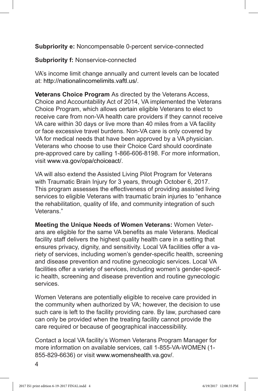**Subpriority e:** Noncompensable 0-percent service-connected

**Subpriority f:** Nonservice-connected

VA's income limit change annually and current levels can be located at: http://nationalincomelimits.vaftl.us/.

**Veterans Choice Program** As directed by the Veterans Access, Choice and Accountability Act of 2014, VA implemented the Veterans Choice Program, which allows certain eligible Veterans to elect to receive care from non-VA health care providers if they cannot receive VA care within 30 days or live more than 40 miles from a VA facility or face excessive travel burdens. Non-VA care is only covered by VA for medical needs that have been approved by a VA physician. Veterans who choose to use their Choice Card should coordinate pre-approved care by calling 1-866-606-8198. For more information, visit www.va.gov/opa/choiceact/.

VA will also extend the Assisted Living Pilot Program for Veterans with Traumatic Brain Injury for 3 years, through October 6, 2017. This program assesses the effectiveness of providing assisted living services to eligible Veterans with traumatic brain injuries to "enhance the rehabilitation, quality of life, and community integration of such Veterans."

**Meeting the Unique Needs of Women Veterans:** Women Veterans are eligible for the same VA benefits as male Veterans. Medical facility staff delivers the highest quality health care in a setting that ensures privacy, dignity, and sensitivity. Local VA facilities offer a variety of services, including women's gender-specific health, screening and disease prevention and routine gynecologic services. Local VA facilities offer a variety of services, including women's gender-specific health, screening and disease prevention and routine gynecologic services.

Women Veterans are potentially eligible to receive care provided in the community when authorized by VA; however, the decision to use such care is left to the facility providing care. By law, purchased care can only be provided when the treating facility cannot provide the care required or because of geographical inaccessibility.

Contact a local VA facility's Women Veterans Program Manager for more information on available services, call 1-855-VA-WOMEN (1- 855-829-6636) or visit www.womenshealth.va.gov/.

4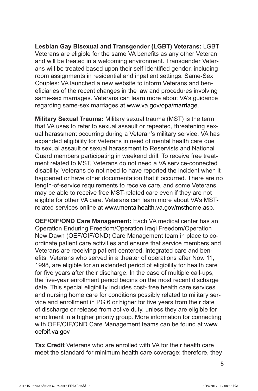**Lesbian Gay Bisexual and Transgender (LGBT) Veterans:** LGBT Veterans are eligible for the same VA benefits as any other Veteran and will be treated in a welcoming environment. Transgender Veterans will be treated based upon their self-identified gender, including room assignments in residential and inpatient settings. Same-Sex Couples: VA launched a new website to inform Veterans and beneficiaries of the recent changes in the law and procedures involving same-sex marriages. Veterans can learn more about VA's guidance regarding same-sex marriages at www.va.gov/opa/marriage.

**Military Sexual Trauma:** Military sexual trauma (MST) is the term that VA uses to refer to sexual assault or repeated, threatening sexual harassment occurring during a Veteran's military service. VA has expanded eligibility for Veterans in need of mental health care due to sexual assault or sexual harassment to Reservists and National Guard members participating in weekend drill. To receive free treatment related to MST, Veterans do not need a VA service-connected disability. Veterans do not need to have reported the incident when it happened or have other documentation that it occurred. There are no length-of-service requirements to receive care, and some Veterans may be able to receive free MST-related care even if they are not eligible for other VA care. Veterans can learn more about VA's MSTrelated services online at www.mentalhealth.va.gov/msthome.asp.

**OEF/OIF/OND Care Management:** Each VA medical center has an Operation Enduring Freedom/Operation Iraqi Freedom/Operation New Dawn (OEF/OIF/OND) Care Management team in place to coordinate patient care activities and ensure that service members and Veterans are receiving patient-centered, integrated care and benefits. Veterans who served in a theater of operations after Nov. 11, 1998, are eligible for an extended period of eligibility for health care for five years after their discharge. In the case of multiple call-ups, the five-year enrollment period begins on the most recent discharge date. This special eligibility includes cost- free health care services and nursing home care for conditions possibly related to military service and enrollment in PG 6 or higher for five years from their date of discharge or release from active duty, unless they are eligible for enrollment in a higher priority group. More information for connecting with OEF/OIF/OND Care Management teams can be found at www. oefoif.va.gov

**Tax Credit** Veterans who are enrolled with VA for their health care meet the standard for minimum health care coverage; therefore, they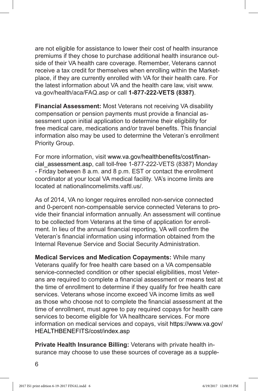are not eligible for assistance to lower their cost of health insurance premiums if they chose to purchase additional health insurance outside of their VA health care coverage. Remember, Veterans cannot receive a tax credit for themselves when enrolling within the Marketplace, if they are currently enrolled with VA for their health care. For the latest information about VA and the health care law, visit www. va.gov/health/aca/FAQ.asp or call **1-877-222-VETS (8387)**.

**Financial Assessment:** Most Veterans not receiving VA disability compensation or pension payments must provide a financial assessment upon initial application to determine their eligibility for free medical care, medications and/or travel benefits. This financial information also may be used to determine the Veteran's enrollment Priority Group.

For more information, visit www.va.gov/healthbenefits/cost/financial\_assessment.asp, call toll-free 1-877-222-VETS (8387) Monday - Friday between 8 a.m. and 8 p.m. EST or contact the enrollment coordinator at your local VA medical facility. VA's income limits are located at nationalincomelimits vaftl.us/

As of 2014, VA no longer requires enrolled non-service connected and 0-percent non-compensable service connected Veterans to provide their financial information annually. An assessment will continue to be collected from Veterans at the time of application for enrollment. In lieu of the annual financial reporting, VA will confirm the Veteran's financial information using information obtained from the Internal Revenue Service and Social Security Administration.

**Medical Services and Medication Copayments:** While many Veterans qualify for free health care based on a VA compensable service-connected condition or other special eligibilities, most Veterans are required to complete a financial assessment or means test at the time of enrollment to determine if they qualify for free health care services. Veterans whose income exceed VA income limits as well as those who choose not to complete the financial assessment at the time of enrollment, must agree to pay required copays for health care services to become eligible for VA healthcare services. For more information on medical services and copays, visit https://www.va.gov/ HEALTHBENEFITS/cost/index.asp

**Private Health Insurance Billing:** Veterans with private health insurance may choose to use these sources of coverage as a supple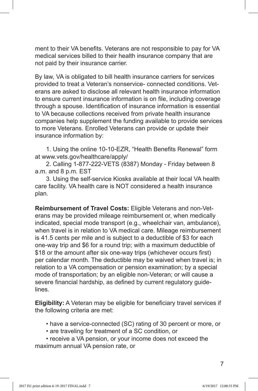ment to their VA benefits. Veterans are not responsible to pay for VA medical services billed to their health insurance company that are not paid by their insurance carrier.

By law, VA is obligated to bill health insurance carriers for services provided to treat a Veteran's nonservice- connected conditions. Veterans are asked to disclose all relevant health insurance information to ensure current insurance information is on file, including coverage through a spouse. Identification of insurance information is essential to VA because collections received from private health insurance companies help supplement the funding available to provide services to more Veterans. Enrolled Veterans can provide or update their insurance information by:

1. Using the online 10-10-EZR, "Health Benefits Renewal" form at www.vets.gov/healthcare/apply/

2. Calling 1-877-222-VETS (8387) Monday - Friday between 8 a.m. and 8 p.m. EST

3. Using the self-service Kiosks available at their local VA health care facility. VA health care is NOT considered a health insurance plan.

**Reimbursement of Travel Costs:** Eligible Veterans and non-Veterans may be provided mileage reimbursement or, when medically indicated, special mode transport (e.g., wheelchair van, ambulance), when travel is in relation to VA medical care. Mileage reimbursement is 41.5 cents per mile and is subject to a deductible of \$3 for each one-way trip and \$6 for a round trip; with a maximum deductible of \$18 or the amount after six one-way trips (whichever occurs first) per calendar month. The deductible may be waived when travel is; in relation to a VA compensation or pension examination; by a special mode of transportation; by an eligible non-Veteran; or will cause a severe financial hardship, as defined by current regulatory guidelines.

**Eligibility:** A Veteran may be eligible for beneficiary travel services if the following criteria are met:

- have a service-connected (SC) rating of 30 percent or more, or
- are traveling for treatment of a SC condition, or

• receive a VA pension, or your income does not exceed the maximum annual VA pension rate, or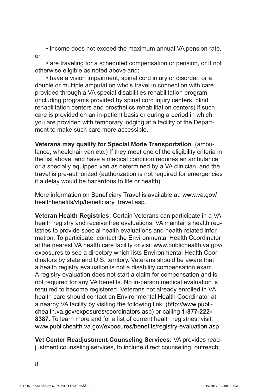• income does not exceed the maximum annual VA pension rate,

• are traveling for a scheduled compensation or pension, or if not otherwise eligible as noted above and;

• have a vision impairment, spinal cord injury or disorder, or a double or multiple amputation who's travel in connection with care provided through a VA special disabilities rehabilitation program (including programs provided by spinal cord injury centers, blind rehabilitation centers and prosthetics rehabilitation centers) if such care is provided on an in-patient basis or during a period in which you are provided with temporary lodging at a facility of the Department to make such care more accessible.

**Veterans may qualify for Special Mode Transportation** (ambulance, wheelchair van etc.) If they meet one of the eligibility criteria in the list above, and have a medical condition requires an ambulance or a specially equipped van as determined by a VA clinician, and the travel is pre-authorized (authorization is not required for emergencies if a delay would be hazardous to life or health).

More information on Beneficiary Travel is available at: www.va.gov/ healthbenefits/vtp/beneficiary\_travel.asp.

**Veteran Health Registries:** Certain Veterans can participate in a VA health registry and receive free evaluations. VA maintains health registries to provide special health evaluations and health-related information. To participate, contact the Environmental Health Coordinator at the nearest VA health care facility or visit www.publichealth.va.gov/ exposures to see a directory which lists Environmental Health Coordinators by state and U.S. territory. Veterans should be aware that a health registry evaluation is not a disability compensation exam. A registry evaluation does not start a claim for compensation and is not required for any VA benefits. No in-person medical evaluation is required to become registered. Veterans not already enrolled in VA health care should contact an Environmental Health Coordinator at a nearby VA facility by visiting the following link: (http://www.publichealth.va.gov/exposures/coordinators.asp) or calling **1-877-222- 8387.** To learn more and for a list of current health registries, visit: www.publichealth.va.gov/exposures/benefits/registry-evaluation.asp.

**Vet Center Readjustment Counseling Services:** VA provides readjustment counseling services, to include direct counseling, outreach,

or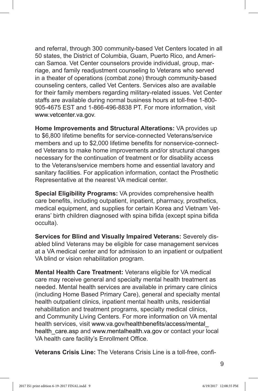and referral, through 300 community-based Vet Centers located in all 50 states, the District of Columbia, Guam, Puerto Rico, and American Samoa. Vet Center counselors provide individual, group, marriage, and family readjustment counseling to Veterans who served in a theater of operations (combat zone) through community-based counseling centers, called Vet Centers. Services also are available for their family members regarding military-related issues. Vet Center staffs are available during normal business hours at toll-free 1-800- 905-4675 EST and 1-866-496-8838 PT. For more information, visit www.vetcenter.va.gov.

**Home Improvements and Structural Alterations:** VA provides up to \$6,800 lifetime benefits for service-connected Veterans/service members and up to \$2,000 lifetime benefits for nonservice-connected Veterans to make home improvements and/or structural changes necessary for the continuation of treatment or for disability access to the Veterans/service members home and essential lavatory and sanitary facilities. For application information, contact the Prosthetic Representative at the nearest VA medical center.

**Special Eligibility Programs:** VA provides comprehensive health care benefits, including outpatient, inpatient, pharmacy, prosthetics, medical equipment, and supplies for certain Korea and Vietnam Veterans' birth children diagnosed with spina bifida (except spina bifida occulta).

**Services for Blind and Visually Impaired Veterans:** Severely disabled blind Veterans may be eligible for case management services at a VA medical center and for admission to an inpatient or outpatient VA blind or vision rehabilitation program.

**Mental Health Care Treatment:** Veterans eligible for VA medical care may receive general and specialty mental health treatment as needed. Mental health services are available in primary care clinics (including Home Based Primary Care), general and specialty mental health outpatient clinics, inpatient mental health units, residential rehabilitation and treatment programs, specialty medical clinics, and Community Living Centers. For more information on VA mental health services, visit www.va.gov/healthbenefits/access/mental\_ health care.asp and www.mentalhealth.va.gov or contact your local VA health care facility's Enrollment Office.

**Veterans Crisis Line:** The Veterans Crisis Line is a toll-free, confi-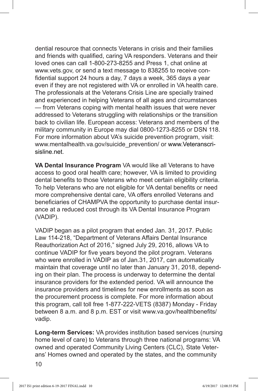dential resource that connects Veterans in crisis and their families and friends with qualified, caring VA responders. Veterans and their loved ones can call 1-800-273-8255 and Press 1, chat online at www.vets.gov, or send a text message to 838255 to receive confidential support 24 hours a day, 7 days a week, 365 days a year even if they are not registered with VA or enrolled in VA health care. The professionals at the Veterans Crisis Line are specially trained and experienced in helping Veterans of all ages and circumstances — from Veterans coping with mental health issues that were never addressed to Veterans struggling with relationships or the transition back to civilian life. European access: Veterans and members of the military community in Europe may dial 0800-1273-8255 or DSN 118. For more information about VA's suicide prevention program, visit: www.mentalhealth.va.gov/suicide\_prevention/ or www.Veteranscrisisline.net.

**VA Dental Insurance Program** VA would like all Veterans to have access to good oral health care; however, VA is limited to providing dental benefits to those Veterans who meet certain eligibility criteria. To help Veterans who are not eligible for VA dental benefits or need more comprehensive dental care, VA offers enrolled Veterans and beneficiaries of CHAMPVA the opportunity to purchase dental insurance at a reduced cost through its VA Dental Insurance Program (VADIP).

VADIP began as a pilot program that ended Jan. 31, 2017. Public Law 114-218, "Department of Veterans Affairs Dental Insurance Reauthorization Act of 2016," signed July 29, 2016, allows VA to continue VADIP for five years beyond the pilot program. Veterans who were enrolled in VADIP as of Jan.31, 2017, can automatically maintain that coverage until no later than January 31, 2018, depending on their plan. The process is underway to determine the dental insurance providers for the extended period. VA will announce the insurance providers and timelines for new enrollments as soon as the procurement process is complete. For more information about this program, call toll free 1-877-222-VETS (8387) Monday - Friday between 8 a.m. and 8 p.m. EST or visit www.va.gov/healthbenefits/ vadip.

**Long-term Services:** VA provides institution based services (nursing home level of care) to Veterans through three national programs: VA owned and operated Community Living Centers (CLC), State Veterans' Homes owned and operated by the states, and the community

10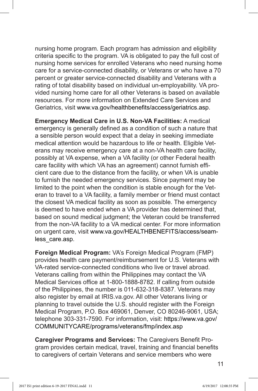nursing home program. Each program has admission and eligibility criteria specific to the program. VA is obligated to pay the full cost of nursing home services for enrolled Veterans who need nursing home care for a service-connected disability, or Veterans or who have a 70 percent or greater service-connected disability and Veterans with a rating of total disability based on individual un-employability. VA provided nursing home care for all other Veterans is based on available resources. For more information on Extended Care Services and Geriatrics, visit www.va.gov/healthbenefits/access/geriatrics.asp.

**Emergency Medical Care in U.S. Non-VA Facilities:** A medical emergency is generally defined as a condition of such a nature that a sensible person would expect that a delay in seeking immediate medical attention would be hazardous to life or health. Eligible Veterans may receive emergency care at a non-VA health care facility, possibly at VA expense, when a VA facility (or other Federal health care facility with which VA has an agreement) cannot furnish efficient care due to the distance from the facility, or when VA is unable to furnish the needed emergency services. Since payment may be limited to the point when the condition is stable enough for the Veteran to travel to a VA facility, a family member or friend must contact the closest VA medical facility as soon as possible. The emergency is deemed to have ended when a VA provider has determined that, based on sound medical judgment; the Veteran could be transferred from the non-VA facility to a VA medical center. For more information on urgent care, visit www.va.gov/HEALTHBENEFITS/access/seamless\_care.asp.

**Foreign Medical Program:** VA's Foreign Medical Program (FMP) provides health care payment/reimbursement for U.S. Veterans with VA-rated service-connected conditions who live or travel abroad. Veterans calling from within the Philippines may contact the VA Medical Services office at 1-800-1888-8782. If calling from outside of the Philippines, the number is 011-632-318-8387. Veterans may also register by email at IRIS.va.gov. All other Veterans living or planning to travel outside the U.S. should register with the Foreign Medical Program, P.O. Box 469061, Denver, CO 80246-9061, USA; telephone 303-331-7590. For information, visit: https://www.va.gov/ COMMUNITYCARE/programs/veterans/fmp/index.asp

**Caregiver Programs and Services:** The Caregivers Benefit Program provides certain medical, travel, training and financial benefits to caregivers of certain Veterans and service members who were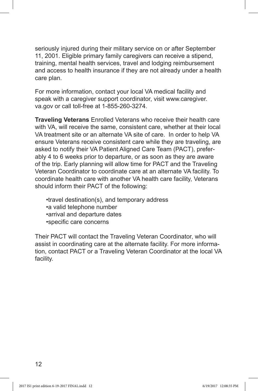seriously injured during their military service on or after September 11, 2001. Eligible primary family caregivers can receive a stipend, training, mental health services, travel and lodging reimbursement and access to health insurance if they are not already under a health care plan.

For more information, contact your local VA medical facility and speak with a caregiver support coordinator, visit www.caregiver. va.gov or call toll-free at 1-855-260-3274.

**Traveling Veterans** Enrolled Veterans who receive their health care with VA, will receive the same, consistent care, whether at their local VA treatment site or an alternate VA site of care. In order to help VA ensure Veterans receive consistent care while they are traveling, are asked to notify their VA Patient Aligned Care Team (PACT), preferably 4 to 6 weeks prior to departure, or as soon as they are aware of the trip. Early planning will allow time for PACT and the Traveling Veteran Coordinator to coordinate care at an alternate VA facility. To coordinate health care with another VA health care facility, Veterans should inform their PACT of the following:

- •travel destination(s), and temporary address
- •a valid telephone number
- •arrival and departure dates
- •specific care concerns

Their PACT will contact the Traveling Veteran Coordinator, who will assist in coordinating care at the alternate facility. For more information, contact PACT or a Traveling Veteran Coordinator at the local VA facility.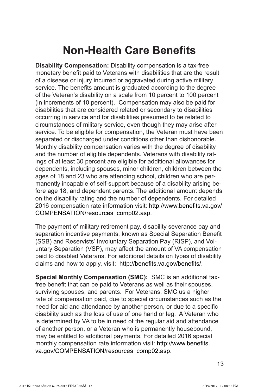# **Non-Health Care Benefits**

**Disability Compensation:** Disability compensation is a tax-free monetary benefit paid to Veterans with disabilities that are the result of a disease or injury incurred or aggravated during active military service. The benefits amount is graduated according to the degree of the Veteran's disability on a scale from 10 percent to 100 percent (in increments of 10 percent). Compensation may also be paid for disabilities that are considered related or secondary to disabilities occurring in service and for disabilities presumed to be related to circumstances of military service, even though they may arise after service. To be eligible for compensation, the Veteran must have been separated or discharged under conditions other than dishonorable. Monthly disability compensation varies with the degree of disability and the number of eligible dependents. Veterans with disability ratings of at least 30 percent are eligible for additional allowances for dependents, including spouses, minor children, children between the ages of 18 and 23 who are attending school, children who are permanently incapable of self-support because of a disability arising before age 18, and dependent parents. The additional amount depends on the disability rating and the number of dependents. For detailed 2016 compensation rate information visit: http://www.benefits.va.gov/ COMPENSATION/resources\_comp02.asp.

The payment of military retirement pay, disability severance pay and separation incentive payments, known as Special Separation Benefit (SSB) and Reservists' Involuntary Separation Pay (RISP), and Voluntary Separation (VSP), may affect the amount of VA compensation paid to disabled Veterans. For additional details on types of disability claims and how to apply, visit: http://benefits.va.gov/benefits/.

**Special Monthly Compensation (SMC):** SMC is an additional taxfree benefit that can be paid to Veterans as well as their spouses, surviving spouses, and parents. For Veterans, SMC us a higher rate of compensation paid, due to special circumstances such as the need for aid and attendance by another person, or due to a specific disability such as the loss of use of one hand or leg. A Veteran who is determined by VA to be in need of the regular aid and attendance of another person, or a Veteran who is permanently housebound, may be entitled to additional payments. For detailed 2016 special monthly compensation rate information visit: http://www.benefits. va.gov/COMPENSATION/resources\_comp02.asp.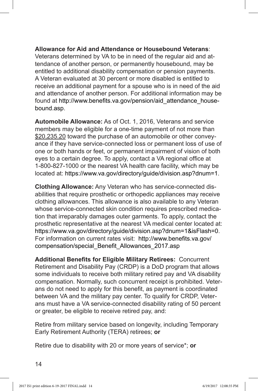#### **Allowance for Aid and Attendance or Housebound Veterans**:

Veterans determined by VA to be in need of the regular aid and attendance of another person, or permanently housebound, may be entitled to additional disability compensation or pension payments. A Veteran evaluated at 30 percent or more disabled is entitled to receive an additional payment for a spouse who is in need of the aid and attendance of another person. For additional information may be found at http://www.benefits.va.gov/pension/aid\_attendance\_housebound.asp.

**Automobile Allowance:** As of Oct. 1, 2016, Veterans and service members may be eligible for a one-time payment of not more than \$20,235.20 toward the purchase of an automobile or other conveyance if they have service-connected loss or permanent loss of use of one or both hands or feet, or permanent impairment of vision of both eyes to a certain degree. To apply, contact a VA regional office at 1-800-827-1000 or the nearest VA health care facility, which may be located at: https://www.va.gov/directory/guide/division.asp?dnum=1.

**Clothing Allowance:** Any Veteran who has service-connected disabilities that require prosthetic or orthopedic appliances may receive clothing allowances. This allowance is also available to any Veteran whose service-connected skin condition requires prescribed medication that irreparably damages outer garments. To apply, contact the prosthetic representative at the nearest VA medical center located at: https://www.va.gov/directory/guide/division.asp?dnum=1&isFlash=0. For information on current rates visit: http://www.benefits.va.gov/ compensation/special\_Benefit\_Allowances\_2017.asp

**Additional Benefits for Eligible Military Retirees:** Concurrent Retirement and Disability Pay (CRDP) is a DoD program that allows some individuals to receive both military retired pay and VA disability compensation. Normally, such concurrent receipt is prohibited. Veterans do not need to apply for this benefit, as payment is coordinated between VA and the military pay center. To qualify for CRDP, Veterans must have a VA service-connected disability rating of 50 percent or greater, be eligible to receive retired pay, and:

Retire from military service based on longevity, including Temporary Early Retirement Authority (TERA) retirees; **or** 

Retire due to disability with 20 or more years of service\*; **or**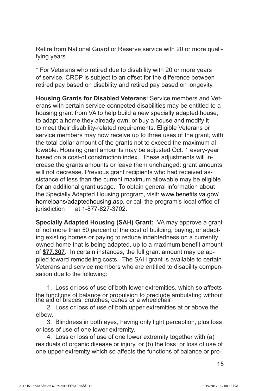Retire from National Guard or Reserve service with 20 or more qualifying years.

\* For Veterans who retired due to disability with 20 or more years of service, CRDP is subject to an offset for the difference between retired pay based on disability and retired pay based on longevity.

**Housing Grants for Disabled Veterans**: Service members and Veterans with certain service-connected disabilities may be entitled to a housing grant from VA to help build a new specially adapted house, to adapt a home they already own, or buy a house and modify it to meet their disability-related requirements. Eligible Veterans or service members may now receive up to three uses of the grant, with the total dollar amount of the grants not to exceed the maximum allowable. Housing grant amounts may be adjusted Oct. 1 every-year based on a cost-of construction index. These adjustments will increase the grants amounts or leave them unchanged: grant amounts will not decrease. Previous grant recipients who had received assistance of less than the current maximum allowable may be eligible for an additional grant usage. To obtain general information about the Specially Adapted Housing program, visit: www.benefits.va.gov/ homeloans/adaptedhousing.asp, or call the program's local office of jurisdiction at 1-877-827-3702.

**Specially Adapted Housing (SAH) Grant:** VA may approve a grant of not more than 50 percent of the cost of building, buying, or adapting existing homes or paying to reduce indebtedness on a currently owned home that is being adapted, up to a maximum benefit amount of **\$77,307**. In certain instances, the full grant amount may be applied toward remodeling costs. The SAH grant is available to certain Veterans and service members who are entitled to disability compensation due to the following:

1. Loss or loss of use of both lower extremities, which so affects the functions of balance or propulsion to preclude ambulating without the aid of braces, crutches, canes or a wheelchair

2. Loss or loss of use of both upper extremities at or above the elbow.

3. Blindness in both eyes, having only light perception, plus loss or loss of use of one lower extremity.

4. Loss or loss of use of one lower extremity together with (a) residuals of organic disease or injury, or (b) the loss or loss of use of one upper extremity which so affects the functions of balance or pro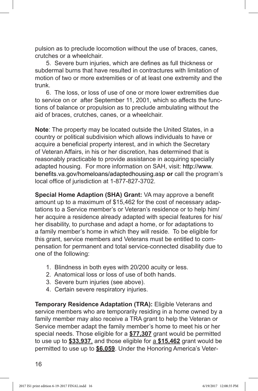pulsion as to preclude locomotion without the use of braces, canes, crutches or a wheelchair.

5. Severe burn injuries, which are defines as full thickness or subdermal burns that have resulted in contractures with limitation of motion of two or more extremities or of at least one extremity and the trunk.

6. The loss, or loss of use of one or more lower extremities due to service on or after September 11, 2001, which so affects the functions of balance or propulsion as to preclude ambulating without the aid of braces, crutches, canes, or a wheelchair.

**Note**: The property may be located outside the United States, in a country or political subdivision which allows individuals to have or acquire a beneficial property interest, and in which the Secretary of Veteran Affairs, in his or her discretion, has determined that is reasonably practicable to provide assistance in acquiring specially adapted housing. For more information on SAH, visit: http://www. benefits.va.gov/homeloans/adaptedhousing.asp **or** call the program's local office of jurisdiction at 1-877-827-3702.

**Special Home Adaption (SHA) Grant:** VA may approve a benefit amount up to a maximum of \$15,462 for the cost of necessary adaptations to a Service member's or Veteran's residence or to help him/ her acquire a residence already adapted with special features for his/ her disability, to purchase and adapt a home, or for adaptations to a family member's home in which they will reside. To be eligible for this grant, service members and Veterans must be entitled to compensation for permanent and total service-connected disability due to one of the following:

- 1. Blindness in both eyes with 20/200 acuity or less.
- 2. Anatomical loss or loss of use of both hands.
- 3. Severe burn injuries (see above).
- 4. Certain severe respiratory injuries.

**Temporary Residence Adaptation (TRA):** Eligible Veterans and service members who are temporarily residing in a home owned by a family member may also receive a TRA grant to help the Veteran or Service member adapt the family member's home to meet his or her special needs. Those eligible for a **\$77,307** grant would be permitted to use up to **\$33,937**, and those eligible for a **\$15,462** grant would be permitted to use up to **\$6,059**. Under the Honoring America's Veter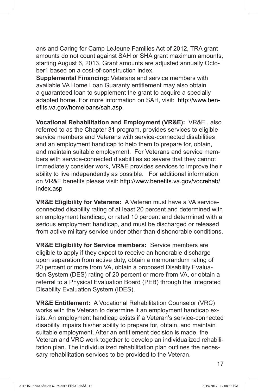ans and Caring for Camp LeJeune Families Act of 2012, TRA grant amounts do not count against SAH or SHA grant maximum amounts, starting August 6, 2013. Grant amounts are adjusted annually October1 based on a cost-of-construction index.

**Supplemental Financing:** Veterans and service members with available VA Home Loan Guaranty entitlement may also obtain a guaranteed loan to supplement the grant to acquire a specially adapted home. For more information on SAH, visit: http://www.benefits.va.gov/homeloans/sah.asp.

**Vocational Rehabilitation and Employment (VR&E):** VR&E , also referred to as the Chapter 31 program, provides services to eligible service members and Veterans with service-connected disabilities and an employment handicap to help them to prepare for, obtain, and maintain suitable employment. For Veterans and service members with service-connected disabilities so severe that they cannot immediately consider work, VR&E provides services to improve their ability to live independently as possible. For additional information on VR&E benefits please visit: http://www.benefits.va.gov/vocrehab/ index.asp

**VR&E Eligibility for Veterans:** A Veteran must have a VA serviceconnected disability rating of at least 20 percent and determined with an employment handicap, or rated 10 percent and determined with a serious employment handicap, and must be discharged or released from active military service under other than dishonorable conditions.

**VR&E Eligibility for Service members:** Service members are eligible to apply if they expect to receive an honorable discharge upon separation from active duty, obtain a memorandum rating of 20 percent or more from VA, obtain a proposed Disability Evaluation System (DES) rating of 20 percent or more from VA, or obtain a referral to a Physical Evaluation Board (PEB) through the Integrated Disability Evaluation System (IDES).

**VR&E Entitlement:** A Vocational Rehabilitation Counselor (VRC) works with the Veteran to determine if an employment handicap exists. An employment handicap exists if a Veteran's service-connected disability impairs his/her ability to prepare for, obtain, and maintain suitable employment. After an entitlement decision is made, the Veteran and VRC work together to develop an individualized rehabilitation plan. The individualized rehabilitation plan outlines the necessary rehabilitation services to be provided to the Veteran.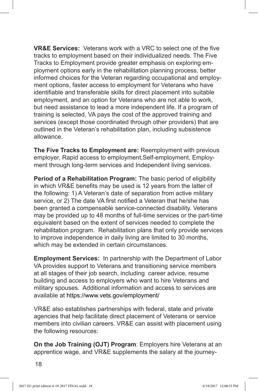**VR&E Services:** Veterans work with a VRC to select one of the five tracks to employment based on their individualized needs. The Five Tracks to Employment provide greater emphasis on exploring employment options early in the rehabilitation planning process, better informed choices for the Veteran regarding occupational and employment options, faster access to employment for Veterans who have identifiable and transferable skills for direct placement into suitable employment, and an option for Veterans who are not able to work, but need assistance to lead a more independent life. If a program of training is selected, VA pays the cost of the approved training and services (except those coordinated through other providers) that are outlined in the Veteran's rehabilitation plan, including subsistence allowance.

**The Five Tracks to Employment are:** Reemployment with previous employer, Rapid access to employment, Self-employment, Employment through long-term services and Independent living services.

**Period of a Rehabilitation Program:** The basic period of eligibility in which VR&E benefits may be used is 12 years from the latter of the following: 1) A Veteran's date of separation from active military service, or 2) The date VA first notified a Veteran that he/she has been granted a compensable service-connected disability. Veterans may be provided up to 48 months of full-time services or the part-time equivalent based on the extent of services needed to complete the rehabilitation program. Rehabilitation plans that only provide services to improve independence in daily living are limited to 30 months, which may be extended in certain circumstances.

available at https://www.vets.gov/employment/ **Employment Services:** In partnership with the Department of Labor VA provides support to Veterans and transitioning service members at all stages of their job search, including career advice, resume building and access to employers who want to hire Veterans and military spouses. Additional information and access to services are

VR&E also establishes partnerships with federal, state and private agencies that help facilitate direct placement of Veterans or service members into civilian careers. VR&E can assist with placement using the following resources:

**On the Job Training (OJT) Program**: Employers hire Veterans at an apprentice wage, and VR&E supplements the salary at the journey-

18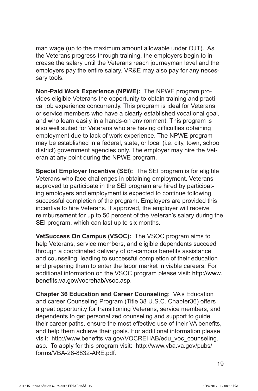man wage (up to the maximum amount allowable under OJT). As the Veterans progress through training, the employers begin to increase the salary until the Veterans reach journeyman level and the employers pay the entire salary. VR&E may also pay for any necessary tools.

 **Non-Paid Work Experience (NPWE):** The NPWE program provides eligible Veterans the opportunity to obtain training and practical job experience concurrently. This program is ideal for Veterans or service members who have a clearly established vocational goal, and who learn easily in a hands-on environment. This program is also well suited for Veterans who are having difficulties obtaining employment due to lack of work experience. The NPWE program may be established in a federal, state, or local (i.e. city, town, school district) government agencies only. The employer may hire the Veteran at any point during the NPWE program.

 **Special Employer Incentive (SEI):** The SEI program is for eligible Veterans who face challenges in obtaining employment. Veterans approved to participate in the SEI program are hired by participating employers and employment is expected to continue following successful completion of the program. Employers are provided this incentive to hire Veterans. If approved, the employer will receive reimbursement for up to 50 percent of the Veteran's salary during the SEI program, which can last up to six months.

 **VetSuccess On Campus (VSOC):** The VSOC program aims to help Veterans, service members, and eligible dependents succeed through a coordinated delivery of on-campus benefits assistance and counseling, leading to successful completion of their education and preparing them to enter the labor market in viable careers. For additional information on the VSOC program please visit: http://www. benefits.va.gov/vocrehab/vsoc.asp.

**Chapter 36 Education and Career Counseling**: VA's Education and career Counseling Program (Title 38 U.S.C. Chapter36) offers a great opportunity for transitioning Veterans, service members, and dependents to get personalized counseling and support to guide their career paths, ensure the most effective use of their VA benefits, and help them achieve their goals. For additional information please visit: http://www.benefits.va.gov/VOCREHAB/edu voc counseling. asp. To apply for this program visit: http://www.vba.va.gov/pubs/ forms/VBA-28-8832-ARE.pdf.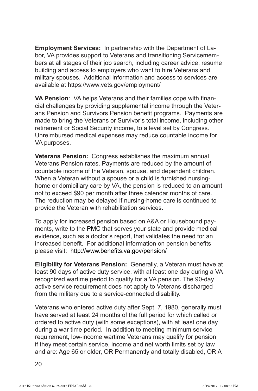**Employment Services:** In partnership with the Department of Labor, VA provides support to Veterans and transitioning Servicemembers at all stages of their job search, including career advice, resume building and access to employers who want to hire Veterans and military spouses. Additional information and access to services are available at https://www.vets.gov/employment/

**VA Pension**: VA helps Veterans and their families cope with financial challenges by providing supplemental income through the Veterans Pension and Survivors Pension benefit programs. Payments are made to bring the Veterans or Survivor's total income, including other retirement or Social Security income, to a level set by Congress. Unreimbursed medical expenses may reduce countable income for VA purposes.

**Veterans Pension:** Congress establishes the maximum annual Veterans Pension rates. Payments are reduced by the amount of countable income of the Veteran, spouse, and dependent children. When a Veteran without a spouse or a child is furnished nursinghome or domiciliary care by VA, the pension is reduced to an amount not to exceed \$90 per month after three calendar months of care. The reduction may be delayed if nursing-home care is continued to provide the Veteran with rehabilitation services.

To apply for increased pension based on A&A or Housebound payments, write to the PMC that serves your state and provide medical evidence, such as a doctor's report, that validates the need for an increased benefit. For additional information on pension benefits please visit: http://www.benefits.va.gov/pension/

**Eligibility for Veterans Pension:** Generally, a Veteran must have at least 90 days of active duty service, with at least one day during a VA recognized wartime period to qualify for a VA pension. The 90-day active service requirement does not apply to Veterans discharged from the military due to a service-connected disability.

Veterans who entered active duty after Sept. 7, 1980, generally must have served at least 24 months of the full period for which called or ordered to active duty (with some exceptions), with at least one day during a war time period. In addition to meeting minimum service requirement, low-income wartime Veterans may qualify for pension if they meet certain service, income and net worth limits set by law and are: Age 65 or older, OR Permanently and totally disabled, OR A

20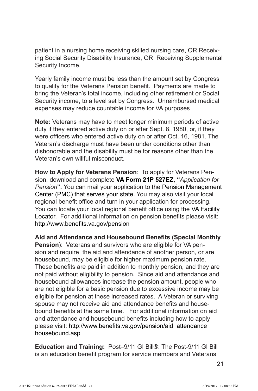patient in a nursing home receiving skilled nursing care, OR Receiving Social Security Disability Insurance, OR Receiving Supplemental Security Income.

Yearly family income must be less than the amount set by Congress to qualify for the Veterans Pension benefit. Payments are made to bring the Veteran's total income, including other retirement or Social Security income, to a level set by Congress. Unreimbursed medical expenses may reduce countable income for VA purposes

**Note:** Veterans may have to meet longer minimum periods of active duty if they entered active duty on or after Sept. 8, 1980, or, if they were officers who entered active duty on or after Oct. 16, 1981. The Veteran's discharge must have been under conditions other than dishonorable and the disability must be for reasons other than the Veteran's own willful misconduct.

**How to Apply for Veterans Pension**: To apply for Veterans Pension, download and complete **VA Form 21P 527EZ, "***Application for Pension***".** You can mail your application to the Pension Management Center (PMC) that serves your state. You may also visit your local regional benefit office and turn in your application for processing. You can locate your local regional benefit office using the VA Facility Locator. For additional information on pension benefits please visit: http://www.benefits.va.gov/pension

**Aid and Attendance and Housebound Benefits (Special Monthly Pension**): Veterans and survivors who are eligible for VA pension and require the aid and attendance of another person, or are housebound, may be eligible for higher maximum pension rate. These benefits are paid in addition to monthly pension, and they are not paid without eligibility to pension. Since aid and attendance and housebound allowances increase the pension amount, people who are not eligible for a basic pension due to excessive income may be eligible for pension at these increased rates. A Veteran or surviving spouse may not receive aid and attendance benefits and housebound benefits at the same time. For additional information on aid and attendance and housebound benefits including how to apply please visit: http://www.benefits.va.gov/pension/aid\_attendance\_ housebound.asp

**Education and Training:** Post–9/11 GI Bill®: The Post-9/11 GI Bill is an education benefit program for service members and Veterans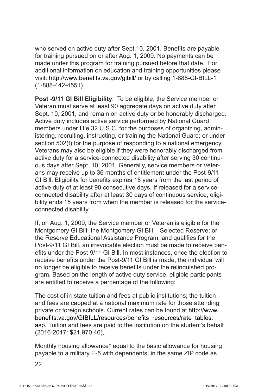who served on active duty after Sept.10, 2001. Benefits are payable for training pursued on or after Aug. 1, 2009. No payments can be made under this program for training pursued before that date. For additional information on education and training opportunities please visit: http://www.benefits.va.gov/gibill/ or by calling 1-888-GI-BILL-1 (1-888-442-4551).

**Post -9/11 GI Bill Eligibility**: To be eligible, the Service member or Veteran must serve at least 90 aggregate days on active duty after Sept. 10, 2001, and remain on active duty or be honorably discharged. Active duty includes active service performed by National Guard members under title 32 U.S.C. for the purposes of organizing, administering, recruiting, instructing, or training the National Guard; or under section 502(f) for the purpose of responding to a national emergency. Veterans may also be eligible if they were honorably discharged from active duty for a service-connected disability after serving 30 continuous days after Sept. 10, 2001. Generally, service members or Veterans may receive up to 36 months of entitlement under the Post-9/11 GI Bill. Eligibility for benefits expires 15 years from the last period of active duty of at least 90 consecutive days. If released for a serviceconnected disability after at least 30 days of continuous service, eligibility ends 15 years from when the member is released for the serviceconnected disability.

If, on Aug. 1, 2009, the Service member or Veteran is eligible for the Montgomery GI Bill; the Montgomery GI Bill – Selected Reserve; or the Reserve Educational Assistance Program, and qualifies for the Post-9/11 GI Bill, an irrevocable election must be made to receive benefits under the Post-9/11 GI Bill. In most instances, once the election to receive benefits under the Post-9/11 GI Bill is made, the individual will no longer be eligible to receive benefits under the relinquished program. Based on the length of active duty service, eligible participants are entitled to receive a percentage of the following:

The cost of in-state tuition and fees at public institutions; the tuition and fees are capped at a national maximum rate for those attending private or foreign schools. Current rates can be found at http://www. benefits.va.gov/GIBILL/resources/benefits\_resources/rate\_tables. asp. Tuition and fees are paid to the institution on the student's behalf (2016-2017: \$21,970.46),

Monthly housing allowance\* equal to the basic allowance for housing payable to a military E-5 with dependents, in the same ZIP code as

22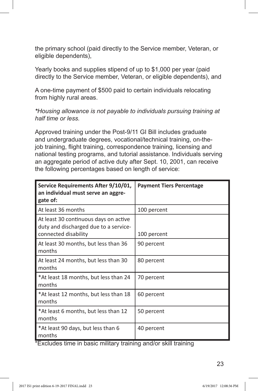the primary school (paid directly to the Service member, Veteran, or eligible dependents),

Yearly books and supplies stipend of up to \$1,000 per year (paid directly to the Service member, Veteran, or eligible dependents), and

A one-time payment of \$500 paid to certain individuals relocating from highly rural areas.

*\*Housing allowance is not payable to individuals pursuing training at half time or less.* 

Approved training under the Post-9/11 GI Bill includes graduate and undergraduate degrees, vocational/technical training, on-thejob training, flight training, correspondence training, licensing and national testing programs, and tutorial assistance. Individuals serving an aggregate period of active duty after Sept. 10, 2001, can receive the following percentages based on length of service:

| Service Requirements After 9/10/01,<br>an individual must serve an aggre-<br>gate of:                  | <b>Payment Tiers Percentage</b> |
|--------------------------------------------------------------------------------------------------------|---------------------------------|
| At least 36 months                                                                                     | 100 percent                     |
| At least 30 continuous days on active<br>duty and discharged due to a service-<br>connected disability | 100 percent                     |
| At least 30 months, but less than 36<br>months                                                         | 90 percent                      |
| At least 24 months, but less than 30<br>months                                                         | 80 percent                      |
| *At least 18 months, but less than 24<br>months                                                        | 70 percent                      |
| *At least 12 months, but less than 18<br>months                                                        | 60 percent                      |
| *At least 6 months, but less than 12<br>months                                                         | 50 percent                      |
| *At least 90 days, but less than 6<br>months                                                           | 40 percent<br>1.11111           |

Excludes time in basic military training and/or skill training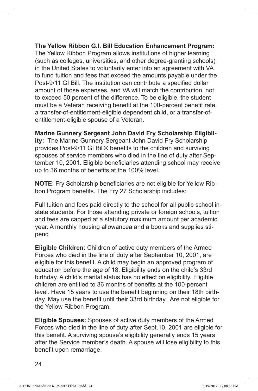#### **The Yellow Ribbon G.I. Bill Education Enhancement Program:**

The Yellow Ribbon Program allows institutions of higher learning (such as colleges, universities, and other degree-granting schools) in the United States to voluntarily enter into an agreement with VA to fund tuition and fees that exceed the amounts payable under the Post-9/11 GI Bill. The institution can contribute a specified dollar amount of those expenses, and VA will match the contribution, not to exceed 50 percent of the difference. To be eligible, the student must be a Veteran receiving benefit at the 100-percent benefit rate, a transfer-of-entitlement-eligible dependent child, or a transfer-ofentitlement-eligible spouse of a Veteran.

 **ity:** The Marine Gunnery Sergeant John David Fry Scholarship **Marine Gunnery Sergeant John David Fry Scholarship Eligibil**provides Post-9/11 GI Bill® benefits to the children and surviving spouses of service members who died in the line of duty after September 10, 2001. Eligible beneficiaries attending school may receive up to 36 months of benefits at the 100% level.

**NOTE**: Fry Scholarship beneficiaries are not eligible for Yellow Ribbon Program benefits. The Fry 27 Scholarship includes:

Full tuition and fees paid directly to the school for all public school instate students. For those attending private or foreign schools, tuition and fees are capped at a statutory maximum amount per academic year. A monthly housing allowancea and a books and supplies stipend

**Eligible Children:** Children of active duty members of the Armed Forces who died in the line of duty after September 10, 2001, are eligible for this benefit. A child may begin an approved program of education before the age of 18. Eligibility ends on the child's 33rd birthday. A child's marital status has no effect on eligibility. Eligible children are entitled to 36 months of benefits at the 100-percent level. Have 15 years to use the benefit beginning on their 18th birthday. May use the benefit until their 33rd birthday. Are not eligible for the Yellow Ribbon Program.

**Eligible Spouses:** Spouses of active duty members of the Armed Forces who died in the line of duty after Sept.10, 2001 are eligible for this benefit. A surviving spouse's eligibility generally ends 15 years after the Service member's death. A spouse will lose eligibility to this benefit upon remarriage.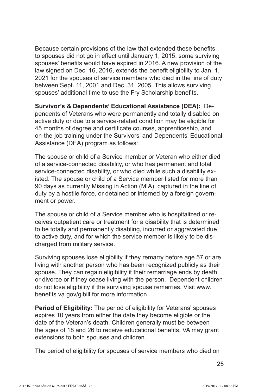Because certain provisions of the law that extended these benefits to spouses did not go in effect until January 1, 2015, some surviving spouses' benefits would have expired in 2016. A new provision of the law signed on Dec. 16, 2016, extends the benefit eligibility to Jan. 1, 2021 for the spouses of service members who died in the line of duty between Sept. 11, 2001 and Dec. 31, 2005. This allows surviving spouses' additional time to use the Fry Scholarship benefits.

**Survivor's & Dependents' Educational Assistance (DEA):** Dependents of Veterans who were permanently and totally disabled on active duty or due to a service-related condition may be eligible for 45 months of degree and certificate courses, apprenticeship, and on-the-job training under the Survivors' and Dependents' Educational Assistance (DEA) program as follows:

The spouse or child of a Service member or Veteran who either died of a service-connected disability, or who has permanent and total service-connected disability, or who died while such a disability existed. The spouse or child of a Service member listed for more than 90 days as currently Missing in Action (MIA), captured in the line of duty by a hostile force, or detained or interned by a foreign government or power.

The spouse or child of a Service member who is hospitalized or receives outpatient care or treatment for a disability that is determined to be totally and permanently disabling, incurred or aggravated due to active duty, and for which the service member is likely to be discharged from military service.

Surviving spouses lose eligibility if they remarry before age 57 or are living with another person who has been recognized publicly as their spouse. They can regain eligibility if their remarriage ends by death or divorce or if they cease living with the person. Dependent children do not lose eligibility if the surviving spouse remarries. Visit www. benefits.va.gov/gibill for more information.

**Period of Eligibility:** The period of eligibility for Veterans' spouses expires 10 years from either the date they become eligible or the date of the Veteran's death. Children generally must be between the ages of 18 and 26 to receive educational benefits. VA may grant extensions to both spouses and children.

The period of eligibility for spouses of service members who died on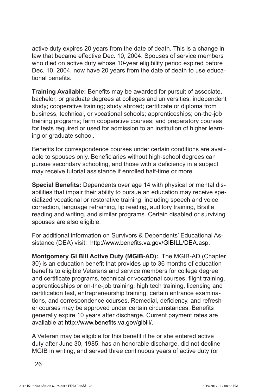active duty expires 20 years from the date of death. This is a change in law that became effective Dec. 10, 2004. Spouses of service members who died on active duty whose 10-year eligibility period expired before Dec. 10, 2004, now have 20 years from the date of death to use educational benefits.

**Training Available:** Benefits may be awarded for pursuit of associate, bachelor, or graduate degrees at colleges and universities; independent study; cooperative training; study abroad; certificate or diploma from business, technical, or vocational schools; apprenticeships; on-the-job training programs; farm cooperative courses; and preparatory courses for tests required or used for admission to an institution of higher learning or graduate school.

Benefits for correspondence courses under certain conditions are available to spouses only. Beneficiaries without high-school degrees can pursue secondary schooling, and those with a deficiency in a subject may receive tutorial assistance if enrolled half-time or more.

**Special Benefits:** Dependents over age 14 with physical or mental disabilities that impair their ability to pursue an education may receive specialized vocational or restorative training, including speech and voice correction, language retraining, lip reading, auditory training, Braille reading and writing, and similar programs. Certain disabled or surviving spouses are also eligible.

For additional information on Survivors & Dependents' Educational Assistance (DEA) visit: http://www.benefits.va.gov/GIBILL/DEA.asp.

**Montgomery GI Bill Active Duty (MGIB-AD):** The MGIB-AD (Chapter 30) is an education benefit that provides up to 36 months of education benefits to eligible Veterans and service members for college degree and certificate programs, technical or vocational courses, flight training, apprenticeships or on-the-job training, high tech training, licensing and certification test, entrepreneurship training, certain entrance examinations, and correspondence courses. Remedial, deficiency, and refresher courses may be approved under certain circumstances. Benefits generally expire 10 years after discharge. Current payment rates are available at http://www.benefits.va.gov/gibill/.

A Veteran may be eligible for this benefit if he or she entered active duty after June 30, 1985, has an honorable discharge, did not decline MGIB in writing, and served three continuous years of active duty (or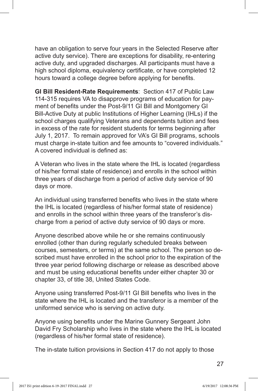have an obligation to serve four years in the Selected Reserve after active duty service). There are exceptions for disability, re-entering active duty, and upgraded discharges. All participants must have a high school diploma, equivalency certificate, or have completed 12 hours toward a college degree before applying for benefits.

**GI Bill Resident-Rate Requirements**: Section 417 of Public Law 114-315 requires VA to disapprove programs of education for payment of benefits under the Post-9/11 GI Bill and Montgomery GI Bill-Active Duty at public Institutions of Higher Learning (IHLs) if the school charges qualifying Veterans and dependents tuition and fees in excess of the rate for resident students for terms beginning after July 1, 2017. To remain approved for VA's GI Bill programs, schools must charge in-state tuition and fee amounts to "covered individuals." A covered individual is defined as:

A Veteran who lives in the state where the IHL is located (regardless of his/her formal state of residence) and enrolls in the school within three years of discharge from a period of active duty service of 90 days or more.

An individual using transferred benefits who lives in the state where the IHL is located (regardless of his/her formal state of residence) and enrolls in the school within three years of the transferor's discharge from a period of active duty service of 90 days or more.

Anyone described above while he or she remains continuously enrolled (other than during regularly scheduled breaks between courses, semesters, or terms) at the same school. The person so described must have enrolled in the school prior to the expiration of the three year period following discharge or release as described above and must be using educational benefits under either chapter 30 or chapter 33, of title 38, United States Code.

Anyone using transferred Post-9/11 GI Bill benefits who lives in the state where the IHL is located and the transferor is a member of the uniformed service who is serving on active duty.

Anyone using benefits under the Marine Gunnery Sergeant John David Fry Scholarship who lives in the state where the IHL is located (regardless of his/her formal state of residence).

The in-state tuition provisions in Section 417 do not apply to those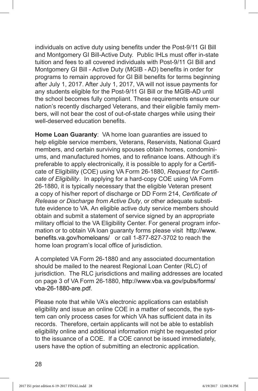individuals on active duty using benefits under the Post-9/11 GI Bill and Montgomery GI Bill-Active Duty. Public IHLs must offer in-state tuition and fees to all covered individuals with Post-9/11 GI Bill and Montgomery GI Bill - Active Duty (MGIB - AD) benefits in order for programs to remain approved for GI Bill benefits for terms beginning after July 1, 2017. After July 1, 2017, VA will not issue payments for any students eligible for the Post-9/11 GI Bill or the MGIB-AD until the school becomes fully compliant. These requirements ensure our nation's recently discharged Veterans, and their eligible family members, will not bear the cost of out-of-state charges while using their well-deserved education benefits.

**Home Loan Guaranty**: VA home loan guaranties are issued to help eligible service members, Veterans, Reservists, National Guard members, and certain surviving spouses obtain homes, condominiums, and manufactured homes, and to refinance loans. Although it's preferable to apply electronically, it is possible to apply for a Certificate of Eligibility (COE) using VA Form 26-1880, *Request for Certificate of Eligibility*. In applying for a hard-copy COE using VA Form 26-1880, it is typically necessary that the eligible Veteran present a copy of his/her report of discharge or DD Form 214, *Certificate of Release or Discharge from Active Duty*, or other adequate substitute evidence to VA. An eligible active duty service members should obtain and submit a statement of service signed by an appropriate military official to the VA Eligibility Center. For general program information or to obtain VA loan guaranty forms please visit http://www. benefits.va.gov/homeloans/ or call 1-877-827-3702 to reach the home loan program's local office of jurisdiction.

A completed VA Form 26-1880 and any associated documentation should be mailed to the nearest Regional Loan Center (RLC) of jurisdiction. The RLC jurisdictions and mailing addresses are located on page 3 of VA Form 26-1880, http://www.vba.va.gov/pubs/forms/ vba-26-1880-are.pdf.

Please note that while VA's electronic applications can establish eligibility and issue an online COE in a matter of seconds, the system can only process cases for which VA has sufficient data in its records. Therefore, certain applicants will not be able to establish eligibility online and additional information might be requested prior to the issuance of a COE. If a COE cannot be issued immediately, users have the option of submitting an electronic application.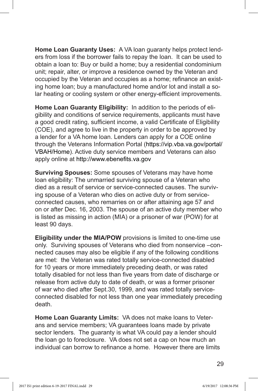**Home Loan Guaranty Uses:** A VA loan guaranty helps protect lenders from loss if the borrower fails to repay the loan. It can be used to obtain a loan to: Buy or build a home; buy a residential condominium unit; repair, alter, or improve a residence owned by the Veteran and occupied by the Veteran and occupies as a home; refinance an existing home loan; buy a manufactured home and/or lot and install a solar heating or cooling system or other energy-efficient improvements.

**Home Loan Guaranty Eligibility:** In addition to the periods of eligibility and conditions of service requirements, applicants must have a good credit rating, sufficient income, a valid Certificate of Eligibility (COE), and agree to live in the property in order to be approved by a lender for a VA home loan. Lenders can apply for a COE online through the Veterans Information Portal (https://vip.vba.va.gov/portal/ VBAH/Home). Active duty service members and Veterans can also apply online at http://www.ebenefits.va.gov

**Surviving Spouses:** Some spouses of Veterans may have home loan eligibility: The unmarried surviving spouse of a Veteran who died as a result of service or service-connected causes. The surviving spouse of a Veteran who dies on active duty or from serviceconnected causes, who remarries on or after attaining age 57 and on or after Dec. 16, 2003. The spouse of an active duty member who is listed as missing in action (MIA) or a prisoner of war (POW) for at least 90 days.

**Eligibility under the MIA/POW** provisions is limited to one-time use only. Surviving spouses of Veterans who died from nonservice –connected causes may also be eligible if any of the following conditions are met: the Veteran was rated totally service-connected disabled for 10 years or more immediately preceding death, or was rated totally disabled for not less than five years from date of discharge or release from active duty to date of death, or was a former prisoner of war who died after Sept.30, 1999, and was rated totally serviceconnected disabled for not less than one year immediately preceding death.

**Home Loan Guaranty Limits:** VA does not make loans to Veterans and service members; VA guarantees loans made by private sector lenders. The guaranty is what VA could pay a lender should the loan go to foreclosure. VA does not set a cap on how much an individual can borrow to refinance a home. However there are limits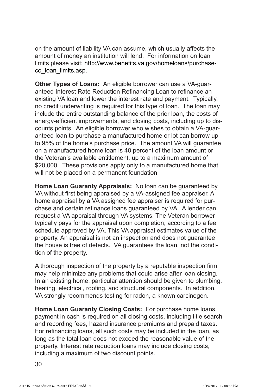on the amount of liability VA can assume, which usually affects the amount of money an institution will lend. For information on loan limits please visit: http://www.benefits.va.gov/homeloans/purchaseco\_loan\_limits.asp.

**Other Types of Loans:** An eligible borrower can use a VA-guaranteed Interest Rate Reduction Refinancing Loan to refinance an existing VA loan and lower the interest rate and payment. Typically, no credit underwriting is required for this type of loan. The loan may include the entire outstanding balance of the prior loan, the costs of energy-efficient improvements, and closing costs, including up to discounts points. An eligible borrower who wishes to obtain a VA-guaranteed loan to purchase a manufactured home or lot can borrow up to 95% of the home's purchase price. The amount VA will guarantee on a manufactured home loan is 40 percent of the loan amount or the Veteran's available entitlement, up to a maximum amount of \$20,000. These provisions apply only to a manufactured home that will not be placed on a permanent foundation

**Home Loan Guaranty Appraisals:** No loan can be guaranteed by VA without first being appraised by a VA-assigned fee appraiser. A home appraisal by a VA assigned fee appraiser is required for purchase and certain refinance loans guaranteed by VA. A lender can request a VA appraisal through VA systems. The Veteran borrower typically pays for the appraisal upon completion, according to a fee schedule approved by VA. This VA appraisal estimates value of the property. An appraisal is not an inspection and does not guarantee the house is free of defects. VA guarantees the loan, not the condition of the property.

A thorough inspection of the property by a reputable inspection firm may help minimize any problems that could arise after loan closing. In an existing home, particular attention should be given to plumbing, heating, electrical, roofing, and structural components. In addition, VA strongly recommends testing for radon, a known carcinogen.

**Home Loan Guaranty Closing Costs:** For purchase home loans, payment in cash is required on all closing costs, including title search and recording fees, hazard insurance premiums and prepaid taxes. For refinancing loans, all such costs may be included in the loan, as long as the total loan does not exceed the reasonable value of the property. Interest rate reduction loans may include closing costs, including a maximum of two discount points.

30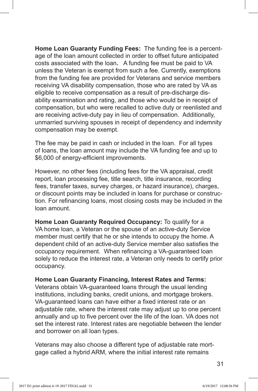**Home Loan Guaranty Funding Fees:** The funding fee is a percentage of the loan amount collected in order to offset future anticipated costs associated with the loan**.** A funding fee must be paid to VA unless the Veteran is exempt from such a fee. Currently, exemptions from the funding fee are provided for Veterans and service members receiving VA disability compensation, those who are rated by VA as eligible to receive compensation as a result of pre-discharge disability examination and rating, and those who would be in receipt of compensation, but who were recalled to active duty or reenlisted and are receiving active-duty pay in lieu of compensation. Additionally, unmarried surviving spouses in receipt of dependency and indemnity compensation may be exempt.

The fee may be paid in cash or included in the loan. For all types of loans, the loan amount may include the VA funding fee and up to \$6,000 of energy-efficient improvements.

However, no other fees (including fees for the VA appraisal, credit report, loan processing fee, title search, title insurance, recording fees, transfer taxes, survey charges, or hazard insurance), charges, or discount points may be included in loans for purchase or construction. For refinancing loans, most closing costs may be included in the loan amount.

**Home Loan Guaranty Required Occupancy:** To qualify for a VA home loan, a Veteran or the spouse of an active-duty Service member must certify that he or she intends to occupy the home. A dependent child of an active-duty Service member also satisfies the occupancy requirement. When refinancing a VA-guaranteed loan solely to reduce the interest rate, a Veteran only needs to certify prior occupancy.

#### **Home Loan Guaranty Financing, Interest Rates and Terms:**

Veterans obtain VA-guaranteed loans through the usual lending institutions, including banks, credit unions, and mortgage brokers. VA-guaranteed loans can have either a fixed interest rate or an adjustable rate, where the interest rate may adjust up to one percent annually and up to five percent over the life of the loan. VA does not set the interest rate. Interest rates are negotiable between the lender and borrower on all loan types.

Veterans may also choose a different type of adjustable rate mortgage called a hybrid ARM, where the initial interest rate remains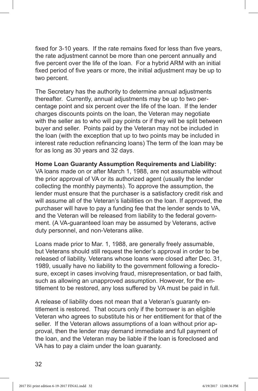fixed for 3-10 years. If the rate remains fixed for less than five years, the rate adjustment cannot be more than one percent annually and five percent over the life of the loan. For a hybrid ARM with an initial fixed period of five years or more, the initial adjustment may be up to two percent.

The Secretary has the authority to determine annual adjustments thereafter. Currently, annual adjustments may be up to two percentage point and six percent over the life of the loan. If the lender charges discounts points on the loan, the Veteran may negotiate with the seller as to who will pay points or if they will be split between buyer and seller. Points paid by the Veteran may not be included in the loan (with the exception that up to two points may be included in interest rate reduction refinancing loans) The term of the loan may be for as long as 30 years and 32 days.

**Home Loan Guaranty Assumption Requirements and Liability:**  VA loans made on or after March 1, 1988, are not assumable without the prior approval of VA or its authorized agent (usually the lender collecting the monthly payments). To approve the assumption, the lender must ensure that the purchaser is a satisfactory credit risk and will assume all of the Veteran's liabilities on the loan. If approved, the purchaser will have to pay a funding fee that the lender sends to VA, and the Veteran will be released from liability to the federal government. (A VA-guaranteed loan may be assumed by Veterans, active duty personnel, and non-Veterans alike.

Loans made prior to Mar. 1, 1988, are generally freely assumable, but Veterans should still request the lender's approval in order to be released of liability. Veterans whose loans were closed after Dec. 31, 1989, usually have no liability to the government following a foreclosure, except in cases involving fraud, misrepresentation, or bad faith, such as allowing an unapproved assumption. However, for the entitlement to be restored, any loss suffered by VA must be paid in full.

A release of liability does not mean that a Veteran's guaranty entitlement is restored. That occurs only if the borrower is an eligible Veteran who agrees to substitute his or her entitlement for that of the seller. If the Veteran allows assumptions of a loan without prior approval, then the lender may demand immediate and full payment of the loan, and the Veteran may be liable if the loan is foreclosed and VA has to pay a claim under the loan guaranty.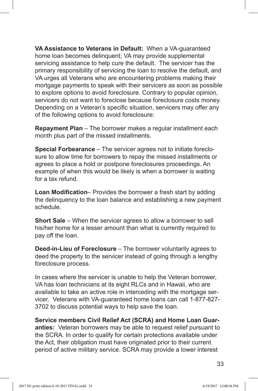**VA Assistance to Veterans in Default:** When a VA-guaranteed home loan becomes delinquent; VA may provide supplemental servicing assistance to help cure the default. The servicer has the primary responsibility of servicing the loan to resolve the default, and VA urges all Veterans who are encountering problems making their mortgage payments to speak with their servicers as soon as possible to explore options to avoid foreclosure. Contrary to popular opinion, servicers do not want to foreclose because foreclosure costs money. Depending on a Veteran's specific situation, servicers may offer any of the following options to avoid foreclosure:

**Repayment Plan** – The borrower makes a regular installment each month plus part of the missed installments.

**Special Forbearance** – The servicer agrees not to initiate foreclosure to allow time for borrowers to repay the missed installments or agrees to place a hold or postpone foreclosures proceedings. An example of when this would be likely is when a borrower is waiting for a tax refund.

**Loan Modification**– Provides the borrower a fresh start by adding the delinquency to the loan balance and establishing a new payment schedule.

**Short Sale** – When the servicer agrees to allow a borrower to sell his/her home for a lesser amount than what is currently required to pay off the loan.

**Deed-in-Lieu of Foreclosure** – The borrower voluntarily agrees to deed the property to the servicer instead of going through a lengthy foreclosure process.

In cases where the servicer is unable to help the Veteran borrower, VA has loan technicians at its eight RLCs and in Hawaii, who are available to take an active role in interceding with the mortgage servicer. Veterans with VA-guaranteed home loans can call 1-877-827- 3702 to discuss potential ways to help save the loan.

**Service members Civil Relief Act (SCRA) and Home Loan Guaranties:** Veteran borrowers may be able to request relief pursuant to the SCRA. In order to qualify for certain protections available under the Act, their obligation must have originated prior to their current period of active military service. SCRA may provide a lower interest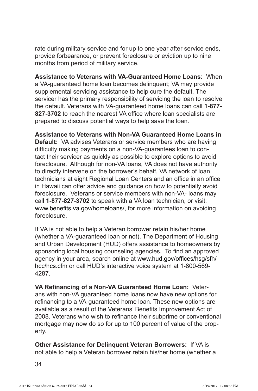rate during military service and for up to one year after service ends, provide forbearance, or prevent foreclosure or eviction up to nine months from period of military service.

**Assistance to Veterans with VA-Guaranteed Home Loans:** When a VA-guaranteed home loan becomes delinquent; VA may provide supplemental servicing assistance to help cure the default. The servicer has the primary responsibility of servicing the loan to resolve the default. Veterans with VA-guaranteed home loans can call **1-877- 827-3702** to reach the nearest VA office where loan specialists are prepared to discuss potential ways to help save the loan.

**Assistance to Veterans with Non-VA Guaranteed Home Loans in Default:** VA advises Veterans or service members who are having difficulty making payments on a non-VA-guarantees loan to contact their servicer as quickly as possible to explore options to avoid foreclosure. Although for non-VA loans, VA does not have authority to directly intervene on the borrower's behalf, VA network of loan technicians at eight Regional Loan Centers and an office in an office in Hawaii can offer advice and guidance on how to potentially avoid foreclosure. Veterans or service members with non-VA- loans may call **1-877-827-3702** to speak with a VA loan technician, or visit: www.benefits.va.gov/homeloans/, for more information on avoiding foreclosure.

If VA is not able to help a Veteran borrower retain his/her home (whether a VA-guaranteed loan or not), The Department of Housing and Urban Development (HUD) offers assistance to homeowners by sponsoring local housing counseling agencies. To find an approved agency in your area, search online at www.hud.gov/offices/hsg/sfh/ hcc/hcs.cfm or call HUD's interactive voice system at 1-800-569- 4287.

**VA Refinancing of a Non-VA Guaranteed Home Loan:** Veterans with non-VA guaranteed home loans now have new options for refinancing to a VA-guaranteed home loan. These new options are available as a result of the Veterans' Benefits Improvement Act of 2008. Veterans who wish to refinance their subprime or conventional mortgage may now do so for up to 100 percent of value of the property.

**Other Assistance for Delinquent Veteran Borrowers:** If VA is not able to help a Veteran borrower retain his/her home (whether a

34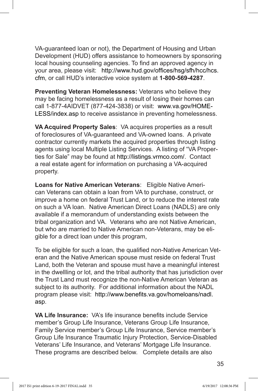VA-guaranteed loan or not), the Department of Housing and Urban Development (HUD) offers assistance to homeowners by sponsoring local housing counseling agencies. To find an approved agency in your area, please visit: http://www.hud.gov/offices/hsg/sfh/hcc/hcs. cfm, or call HUD's interactive voice system at **1-800-569-4287**.

**Preventing Veteran Homelessness:** Veterans who believe they may be facing homelessness as a result of losing their homes can call 1-877-4AIDVET (877-424-3838) or visit: www.va.gov/HOME-LESS/index.asp to receive assistance in preventing homelessness.

**VA Acquired Property Sales**: VA acquires properties as a result of foreclosures of VA-guaranteed and VA-owned loans. A private contractor currently markets the acquired properties through listing agents using local Multiple Listing Services. A listing of "VA Properties for Sale" may be found at http://listings.vrmco.com/. Contact a real estate agent for information on purchasing a VA-acquired property.

**Loans for Native American Veterans**: Eligible Native American Veterans can obtain a loan from VA to purchase, construct, or improve a home on federal Trust Land, or to reduce the interest rate on such a VA loan. Native American Direct Loans (NADLS) are only available if a memorandum of understanding exists between the tribal organization and VA. Veterans who are not Native American, but who are married to Native American non-Veterans, may be eligible for a direct loan under this program,

To be eligible for such a loan, the qualified non-Native American Veteran and the Native American spouse must reside on federal Trust Land, both the Veteran and spouse must have a meaningful interest in the dwellling or lot, and the tribal authority that has jurisdiction over the Trust Land must recognize the non-Native American Veteran as subject to its authority. For additional information about the NADL program please visit: http://www.benefits.va.gov/homeloans/nadl. asp.

**VA Life Insurance:** VA's life insurance benefits include Service member's Group Life Insurance, Veterans Group Life Insurance, Family Service member's Group Life Insurance, Service member's Group Life Insurance Traumatic Injury Protection, Service-Disabled Veterans' Life Insurance, and Veterans' Mortgage Life Insurance. These programs are described below. Complete details are also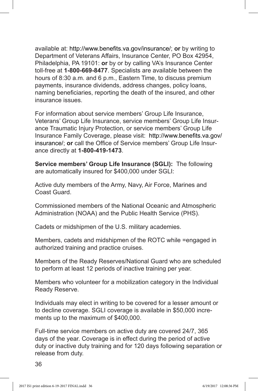available at: http://www.benefits.va.gov/insurance/; **or** by writing to Department of Veterans Affairs, Insurance Center, PO Box 42954, Philadelphia, PA 19101: **or** by or by calling VA's Insurance Center toll-free at **1-800-669-8477**. Specialists are available between the hours of 8:30 a.m. and 6 p.m., Eastern Time, to discuss premium payments, insurance dividends, address changes, policy loans, naming beneficiaries, reporting the death of the insured, and other insurance issues.

For information about service members' Group Life Insurance, Veterans' Group Life Insurance, service members' Group Life Insurance Traumatic Injury Protection, or service members' Group Life Insurance Family Coverage, please visit: http://www.benefits.va.gov/ insurance/; **or** call the Office of Service members' Group Life Insurance directly at **1-800-419-1473**.

**Service members' Group Life Insurance (SGLI):** The following are automatically insured for \$400,000 under SGLI:

Active duty members of the Army, Navy, Air Force, Marines and Coast Guard.

Commissioned members of the National Oceanic and Atmospheric Administration (NOAA) and the Public Health Service (PHS).

Cadets or midshipmen of the U.S. military academies.

Members, cadets and midshipmen of the ROTC while =engaged in authorized training and practice cruises.

Members of the Ready Reserves/National Guard who are scheduled to perform at least 12 periods of inactive training per year.

Members who volunteer for a mobilization category in the Individual Ready Reserve.

Individuals may elect in writing to be covered for a lesser amount or to decline coverage. SGLI coverage is available in \$50,000 increments up to the maximum of \$400,000.

Full-time service members on active duty are covered 24/7, 365 days of the year. Coverage is in effect during the period of active duty or inactive duty training and for 120 days following separation or release from duty.

36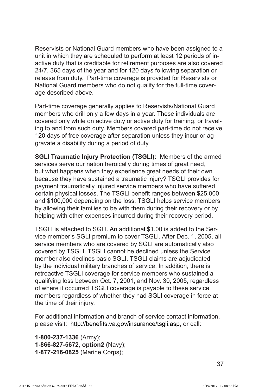Reservists or National Guard members who have been assigned to a unit in which they are scheduled to perform at least 12 periods of inactive duty that is creditable for retirement purposes are also covered 24/7, 365 days of the year and for 120 days following separation or release from duty. Part-time coverage is provided for Reservists or National Guard members who do not qualify for the full-time coverage described above.

Part-time coverage generally applies to Reservists/National Guard members who drill only a few days in a year. These individuals are covered only while on active duty or active duty for training, or traveling to and from such duty. Members covered part-time do not receive 120 days of free coverage after separation unless they incur or aggravate a disability during a period of duty

**SGLI Traumatic Injury Protection (TSGLI):** Members of the armed services serve our nation heroically during times of great need, but what happens when they experience great needs of their own because they have sustained a traumatic injury? TSGLI provides for payment traumatically injured service members who have suffered certain physical losses. The TSGLI benefit ranges between \$25,000 and \$100,000 depending on the loss. TSGLI helps service members by allowing their families to be with them during their recovery or by helping with other expenses incurred during their recovery period.

TSGLI is attached to SGLI. An additional \$1.00 is added to the Service member's SGLI premium to cover TSGLI. After Dec. 1, 2005, all service members who are covered by SGLI are automatically also covered by TSGLI. TSGLI cannot be declined unless the Service member also declines basic SGLI. TSGLI claims are adjudicated by the individual military branches of service. In addition, there is retroactive TSGLI coverage for service members who sustained a qualifying loss between Oct. 7, 2001, and Nov. 30, 2005, regardless of where it occurred TSGLI coverage is payable to these service members regardless of whether they had SGLI coverage in force at the time of their injury.

For additional information and branch of service contact information, please visit: http://benefits.va.gov/insurance/tsgli.asp, or call:

**1-800-237-1336** (Army); **1-866-827-5672, option2 (**Navy); **1-877-216-0825** (Marine Corps);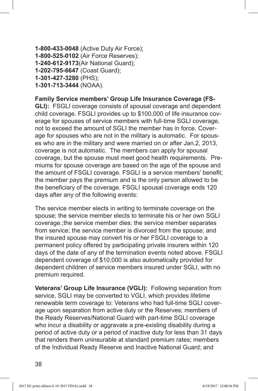```
1-800-433-0048 (Active Duty Air Force); 
1-800-525-0102 (Air Force Reserves); 
1-240-612-9173(Air National Guard); 
1-202-795-6647 (Coast Guard); 
1-301-427-3280 (PHS); 
1-301-713-3444 (NOAA).
```
**Family Service members' Group Life Insurance Coverage (FS-GLI):** FSGLI coverage consists of spousal coverage and dependent child coverage. FSGLI provides up to \$100,000 of life insurance coverage for spouses of service members with full-time SGLI coverage, not to exceed the amount of SGLI the member has in force. Coverage for spouses who are not in the military is automatic. For spouses who are in the military and were married on or after Jan.2, 2013, coverage is not automatic. The members can apply for spousal coverage, but the spouse must meet good health requirements. Premiums for spouse coverage are based on the age of the spouse and the amount of FSGLI coverage. FSGLI is a service members' benefit; the member pays the premium and is the only person allowed to be the beneficiary of the coverage. FSGLI spousal coverage ends 120 days after any of the following events:

The service member elects in writing to terminate coverage on the spouse; the service member elects to terminate his or her own SGLI coverage.;the service member dies; the service member separates from service; the service member is divorced from the spouse; and the insured spouse may convert his or her FSGLI coverage to a permanent policy offered by participating private insurers within 120 days of the date of any of the termination events noted above. FSGLI dependent coverage of \$10,000 is also automatically provided for dependent children of service members insured under SGLI, with no premium required.

**Veterans' Group Life Insurance (VGLI):** Following separation from service, SGLI may be converted to VGLI, which provides lifetime renewable term coverage to: Veterans who had full-time SGLI coverage upon separation from active duty or the Reserves; members of the Ready Reserves/National Guard with part-time SGLI coverage who incur a disability or aggravate a pre-existing disability during a period of active duty or a period of inactive duty for less than 31 days that renders them uninsurable at standard premium rates; members of the Individual Ready Reserve and Inactive National Guard; and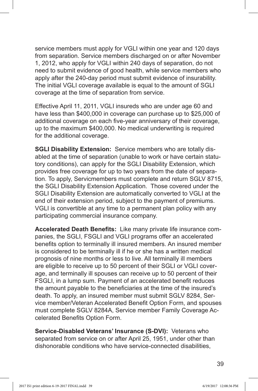service members must apply for VGLI within one year and 120 days from separation. Service members discharged on or after November 1, 2012, who apply for VGLI within 240 days of separation, do not need to submit evidence of good health, while service members who apply after the 240-day period must submit evidence of insurability. The initial VGLI coverage available is equal to the amount of SGLI coverage at the time of separation from service.

Effective April 11, 2011, VGLI insureds who are under age 60 and have less than \$400,000 in coverage can purchase up to \$25,000 of additional coverage on each five-year anniversary of their coverage, up to the maximum \$400,000. No medical underwriting is required for the additional coverage.

**SGLI Disability Extension:** Service members who are totally disabled at the time of separation (unable to work or have certain statutory conditions), can apply for the SGLI Disability Extension, which provides free coverage for up to two years from the date of separation. To apply, Servicmembers must complete and return SGLV 8715, the SGLI Disability Extension Application. Those covered under the SGLI Disability Extension are automatically converted to VGLI at the end of their extension period, subject to the payment of premiums. VGLI is convertible at any time to a permanent plan policy with any participating commercial insurance company.

**Accelerated Death Benefits:** Like many private life insurance companies, the SGLI, FSGLI and VGLI programs offer an accelerated benefits option to terminally ill insured members. An insured member is considered to be terminally ill if he or she has a written medical prognosis of nine months or less to live. All terminally ill members are eligible to receive up to 50 percent of their SGLI or VGLI coverage, and terminally ill spouses can receive up to 50 percent of their FSGLI, in a lump sum. Payment of an accelerated benefit reduces the amount payable to the beneficiaries at the time of the insured's death. To apply, an insured member must submit SGLV 8284, Service member/Veteran Accelerated Benefit Option Form, and spouses must complete SGLV 8284A, Service member Family Coverage Accelerated Benefits Option Form.

**Service-Disabled Veterans' Insurance (S-DVI):** Veterans who separated from service on or after April 25, 1951, under other than dishonorable conditions who have service-connected disabilities,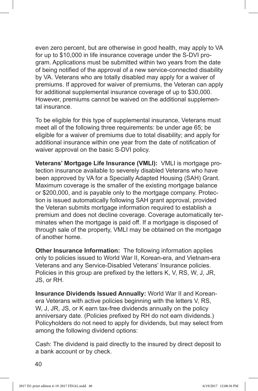even zero percent, but are otherwise in good health, may apply to VA for up to \$10,000 in life insurance coverage under the S-DVI program. Applications must be submitted within two years from the date of being notified of the approval of a new service-connected disability by VA. Veterans who are totally disabled may apply for a waiver of premiums. If approved for waiver of premiums, the Veteran can apply for additional supplemental insurance coverage of up to \$30,000. However, premiums cannot be waived on the additional supplemental insurance.

To be eligible for this type of supplemental insurance, Veterans must meet all of the following three requirements: be under age 65; be eligible for a waiver of premiums due to total disability; and apply for additional insurance within one year from the date of notification of waiver approval on the basic S-DVI policy.

**Veterans' Mortgage Life Insurance (VMLI):** VMLI is mortgage protection insurance available to severely disabled Veterans who have been approved by VA for a Specially Adapted Housing (SAH) Grant. Maximum coverage is the smaller of the existing mortgage balance or \$200,000, and is payable only to the mortgage company. Protection is issued automatically following SAH grant approval, provided the Veteran submits mortgage information required to establish a premium and does not decline coverage. Coverage automatically terminates when the mortgage is paid off. If a mortgage is disposed of through sale of the property, VMLI may be obtained on the mortgage of another home.

**Other Insurance Information:** The following information applies only to policies issued to World War II, Korean-era, and Vietnam-era Veterans and any Service-Disabled Veterans' Insurance policies. Policies in this group are prefixed by the letters K, V, RS, W, J, JR, JS, or RH.

**Insurance Dividends Issued Annually:** World War II and Koreanera Veterans with active policies beginning with the letters V, RS, W, J, JR, JS, or K earn tax-free dividends annually on the policy anniversary date. (Policies prefixed by RH do not earn dividends.) Policyholders do not need to apply for dividends, but may select from among the following dividend options:

Cash: The dividend is paid directly to the insured by direct deposit to a bank account or by check.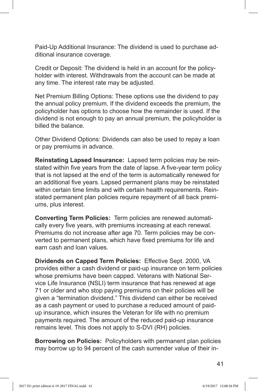Paid-Up Additional Insurance: The dividend is used to purchase additional insurance coverage.

Credit or Deposit: The dividend is held in an account for the policyholder with interest. Withdrawals from the account can be made at any time. The interest rate may be adjusted.

Net Premium Billing Options: These options use the dividend to pay the annual policy premium. If the dividend exceeds the premium, the policyholder has options to choose how the remainder is used. If the dividend is not enough to pay an annual premium, the policyholder is billed the balance.

Other Dividend Options: Dividends can also be used to repay a loan or pay premiums in advance.

**Reinstating Lapsed Insurance:** Lapsed term policies may be reinstated within five years from the date of lapse. A five-year term policy that is not lapsed at the end of the term is automatically renewed for an additional five years. Lapsed permanent plans may be reinstated within certain time limits and with certain health requirements. Reinstated permanent plan policies require repayment of all back premiums, plus interest.

**Converting Term Policies:** Term policies are renewed automatically every five years, with premiums increasing at each renewal. Premiums do not increase after age 70. Term policies may be converted to permanent plans, which have fixed premiums for life and earn cash and loan values.

**Dividends on Capped Term Policies:** Effective Sept. 2000, VA provides either a cash dividend or paid-up insurance on term policies whose premiums have been capped. Veterans with National Service Life Insurance (NSLI) term insurance that has renewed at age 71 or older and who stop paying premiums on their policies will be given a "termination dividend." This dividend can either be received as a cash payment or used to purchase a reduced amount of paidup insurance, which insures the Veteran for life with no premium payments required. The amount of the reduced paid-up insurance remains level. This does not apply to S-DVI (RH) policies.

**Borrowing on Policies:** Policyholders with permanent plan policies may borrow up to 94 percent of the cash surrender value of their in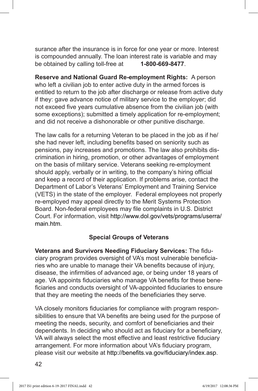surance after the insurance is in force for one year or more. Interest is compounded annually. The loan interest rate is variable and may be obtained by calling toll-free at **1-800-669-8477**.

**Reserve and National Guard Re-employment Rights:** A person who left a civilian job to enter active duty in the armed forces is entitled to return to the job after discharge or release from active duty if they: gave advance notice of military service to the employer; did not exceed five years cumulative absence from the civilian job (with some exceptions); submitted a timely application for re-employment; and did not receive a dishonorable or other punitive discharge.

The law calls for a returning Veteran to be placed in the job as if he/ she had never left, including benefits based on seniority such as pensions, pay increases and promotions. The law also prohibits discrimination in hiring, promotion, or other advantages of employment on the basis of military service. Veterans seeking re-employment should apply, verbally or in writing, to the company's hiring official and keep a record of their application. If problems arise, contact the Department of Labor's Veterans' Employment and Training Service (VETS) in the state of the employer. Federal employees not properly re-employed may appeal directly to the Merit Systems Protection Board. Non-federal employees may file complaints in U.S. District Court. For information, visit http://www.dol.gov/vets/programs/userra/ main.htm.

### **Special Groups of Veterans**

**Veterans and Survivors Needing Fiduciary Services:** The fiduciary program provides oversight of VA's most vulnerable beneficiaries who are unable to manage their VA benefits because of injury, disease, the infirmities of advanced age, or being under 18 years of age. VA appoints fiduciaries who manage VA benefits for these beneficiaries and conducts oversight of VA-appointed fiduciaries to ensure that they are meeting the needs of the beneficiaries they serve.

VA closely monitors fiduciaries for compliance with program responsibilities to ensure that VA benefits are being used for the purpose of meeting the needs, security, and comfort of beneficiaries and their dependents. In deciding who should act as fiduciary for a beneficiary, VA will always select the most effective and least restrictive fiduciary arrangement. For more information about VA's fiduciary program, please visit our website at http://benefits.va.gov/fiduciary/index.asp.

42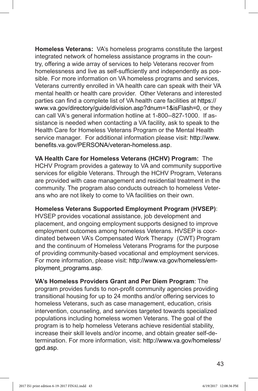**Homeless Veterans:** VA's homeless programs constitute the largest integrated network of homeless assistance programs in the country, offering a wide array of services to help Veterans recover from homelessness and live as self-sufficiently and independently as possible. For more information on VA homeless programs and services, Veterans currently enrolled in VA health care can speak with their VA mental health or health care provider. Other Veterans and interested parties can find a complete list of VA health care facilities at https:// www.va.gov/directory/guide/division.asp?dnum=1&isFlash=0, or they can call VA's general information hotline at 1-800--827-1000. If assistance is needed when contacting a VA facility, ask to speak to the Health Care for Homeless Veterans Program or the Mental Health service manager. For additional information please visit: http://www. benefits.va.gov/PERSONA/veteran-homeless.asp.

**VA Health Care for Homeless Veterans (HCHV) Program:** The HCHV Program provides a gateway to VA and community supportive services for eligible Veterans. Through the HCHV Program, Veterans are provided with case management and residential treatment in the community. The program also conducts outreach to homeless Veterans who are not likely to come to VA facilities on their own.

#### **Homeless Veterans Supported Employment Program (HVSEP)**:

HVSEP provides vocational assistance, job development and placement, and ongoing employment supports designed to improve employment outcomes among homeless Veterans. HVSEP is coordinated between VA's Compensated Work Therapy (CWT) Program and the continuum of Homeless Veterans Programs for the purpose of providing community-based vocational and employment services. For more information, please visit: http://www.va.gov/homeless/employment\_programs.asp.

**VA's Homeless Providers Grant and Per Diem Program**: The program provides funds to non-profit community agencies providing transitional housing for up to 24 months and/or offering services to homeless Veterans, such as case management, education, crisis intervention, counseling, and services targeted towards specialized populations including homeless women Veterans. The goal of the program is to help homeless Veterans achieve residential stability, increase their skill levels and/or income, and obtain greater self-determination. For more information, visit: http://www.va.gov/homeless/ gpd.asp.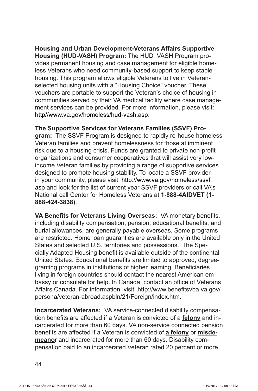**Housing and Urban Development-Veterans Affairs Supportive Housing (HUD-VASH) Program:** The HUD\_VASH Program provides permanent housing and case management for eligible homeless Veterans who need community-based support to keep stable housing. This program allows eligible Veterans to live in Veteranselected housing units with a "Housing Choice" voucher. These vouchers are portable to support the Veteran's choice of housing in communities served by their VA medical facility where case management services can be provided. For more information, please visit: http//www.va.gov/homeless/hud-vash.asp.

**The Supportive Services for Veterans Families (SSVF) Pro-**

**gram:** The SSVF Program is designed to rapidly re-house homeless Veteran families and prevent homelessness for those at imminent risk due to a housing crisis. Funds are granted to private non-profit organizations and consumer cooperatives that will assist very lowincome Veteran families by providing a range of supportive services designed to promote housing stability. To locate a SSVF provider in your community, please visit: http://www.va.gov/homeless/ssvf. asp and look for the list of current year SSVF providers or call VA's National call Center for Homeless Veterans at **1-888-4AIDVET (1- 888-424-3838)**.

**VA Benefits for Veterans Living Overseas:** VA monetary benefits, including disability compensation, pension, educational benefits, and burial allowances, are generally payable overseas. Some programs are restricted. Home loan guaranties are available only in the United States and selected U.S. territories and possessions. The Specially Adapted Housing benefit is available outside of the continental United States. Educational benefits are limited to approved, degreegranting programs in institutions of higher learning. Beneficiaries living in foreign countries should contact the nearest American embassy or consulate for help. In Canada, contact an office of Veterans Affairs Canada. For information, visit: http://www.benefitsvba.va.gov/ persona/veteran-abroad.aspbln/21/Foreign/index.htm.

**Incarcerated Veterans:** VA service-connected disability compensation benefits are affected if a Veteran is convicted of a **felony** and incarcerated for more than 60 days. VA non-service connected pension benefits are affected if a Veteran is convicted of **a felony** or **misdemeano**r and incarcerated for more than 60 days. Disability compensation paid to an incarcerated Veteran rated 20 percent or more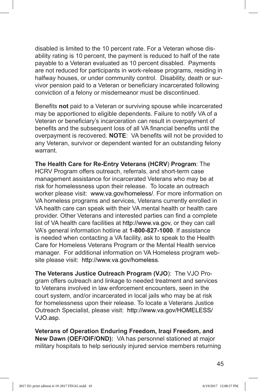disabled is limited to the 10 percent rate. For a Veteran whose disability rating is 10 percent, the payment is reduced to half of the rate payable to a Veteran evaluated as 10 percent disabled. Payments are not reduced for participants in work-release programs, residing in halfway houses, or under community control. Disability, death or survivor pension paid to a Veteran or beneficiary incarcerated following conviction of a felony or misdemeanor must be discontinued.

 overpayment is recovered. **NOTE**: VA benefits will not be provided to Benefits **not** paid to a Veteran or surviving spouse while incarcerated may be apportioned to eligible dependents. Failure to notify VA of a Veteran or beneficiary's incarceration can result in overpayment of benefits and the subsequent loss of all VA financial benefits until the any Veteran, survivor or dependent wanted for an outstanding felony warrant.

**The Health Care for Re-Entry Veterans (HCRV**) **Program**: The HCRV Program offers outreach, referrals, and short-term case management assistance for incarcerated Veterans who may be at risk for homelessness upon their release. To locate an outreach worker please visit: www.va.gov/homeless/. For more information on VA homeless programs and services, Veterans currently enrolled in VA health care can speak with their VA mental health or health care provider. Other Veterans and interested parties can find a complete list of VA health care facilities at http://www.va.gov, or they can call VA's general information hotline at **1-800-827-1000**. If assistance is needed when contacting a VA facility, ask to speak to the Health Care for Homeless Veterans Program or the Mental Health service manager. For additional information on VA Homeless program website please visit: http://www.va.gov/homeless.

**The Veterans Justice Outreach Program (VJO**): The VJO Program offers outreach and linkage to needed treatment and services to Veterans involved in law enforcement encounters, seen in the court system, and/or incarcerated in local jails who may be at risk for homelessness upon their release. To locate a Veterans Justice Outreach Specialist, please visit: http://www.va.gov/HOMELESS/ VJO.asp.

**Veterans of Operation Enduring Freedom, Iraqi Freedom, and New Dawn (OEF/OIF/OND):** VA has personnel stationed at major military hospitals to help seriously injured service members returning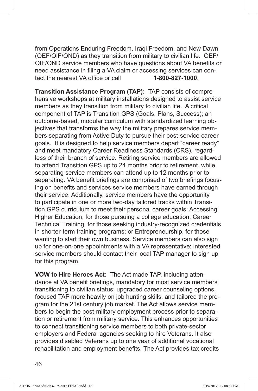from Operations Enduring Freedom, Iraqi Freedom, and New Dawn (OEF/OIF/OND) as they transition from military to civilian life. OEF/ OIF/OND service members who have questions about VA benefits or need assistance in filing a VA claim or accessing services can contact the nearest VA office or call **1-800-827-1000**.

**Transition Assistance Program (TAP):** TAP consists of comprehensive workshops at military installations designed to assist service members as they transition from military to civilian life. A critical component of TAP is Transition GPS (Goals, Plans, Success); an outcome-based, modular curriculum with standardized learning objectives that transforms the way the military prepares service members separating from Active Duty to pursue their post-service career goals. It is designed to help service members depart "career ready" and meet mandatory Career Readiness Standards (CRS), regardless of their branch of service. Retiring service members are allowed to attend Transition GPS up to 24 months prior to retirement, while separating service members can attend up to 12 months prior to separating. VA benefit briefings are comprised of two briefings focusing on benefits and services service members have earned through their service. Additionally, service members have the opportunity to participate in one or more two-day tailored tracks within Transition GPS curriculum to meet their personal career goals: Accessing Higher Education, for those pursuing a college education; Career Technical Training, for those seeking industry-recognized credentials in shorter-term training programs; or Entrepreneurship, for those wanting to start their own business. Service members can also sign up for one-on-one appointments with a VA representative; interested service members should contact their local TAP manager to sign up for this program.

**VOW to Hire Heroes Act:** The Act made TAP, including attendance at VA benefit briefings, mandatory for most service members transitioning to civilian status; upgraded career counseling options, focused TAP more heavily on job hunting skills, and tailored the program for the 21st century job market. The Act allows service members to begin the post-military employment process prior to separation or retirement from military service. This enhances opportunities to connect transitioning service members to both private-sector employers and Federal agencies seeking to hire Veterans. It also provides disabled Veterans up to one year of additional vocational rehabilitation and employment benefits. The Act provides tax credits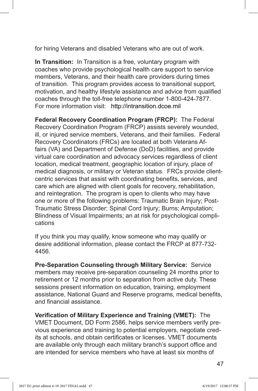for hiring Veterans and disabled Veterans who are out of work.

 For more information visit: http://intransition.dcoe.mil **In Transition:** In Transition is a free, voluntary program with coaches who provide psychological health care support to service members, Veterans, and their health care providers during times of transition. This program provides access to transitional support, motivation, and healthy lifestyle assistance and advice from qualified coaches through the toll-free telephone number 1-800-424-7877.

 and reintegration. The program is open to clients who may have **Federal Recovery Coordination Program (FRCP):** The Federal Recovery Coordination Program (FRCP) assists severely wounded, ill, or injured service members, Veterans, and their families. Federal Recovery Coordinators (FRCs) are located at both Veterans Affairs (VA) and Department of Defense (DoD) facilities, and provide virtual care coordination and advocacy services regardless of client location, medical treatment, geographic location of injury, place of medical diagnosis, or military or Veteran status. FRCs provide clientcentric services that assist with coordinating benefits, services, and care which are aligned with client goals for recovery, rehabilitation, one or more of the following problems: Traumatic Brain Injury; Post-Traumatic Stress Disorder; Spinal Cord Injury; Burns; Amputation; Blindness of Visual Impairments; an at risk for psychological complications

If you think you may qualify, know someone who may qualify or desire additional information, please contact the FRCP at 877-732- 4456.

**Pre-Separation Counseling through Military Service:** Service members may receive pre-separation counseling 24 months prior to retirement or 12 months prior to separation from active duty. These sessions present information on education, training, employment assistance, National Guard and Reserve programs, medical benefits, and financial assistance.

**Verification of Military Experience and Training (VMET):** The VMET Document, DD Form 2586, helps service members verify previous experience and training to potential employers, negotiate credits at schools, and obtain certificates or licenses. VMET documents are available only through each military branch's support office and are intended for service members who have at least six months of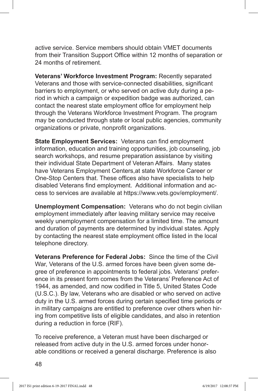active service. Service members should obtain VMET documents from their Transition Support Office within 12 months of separation or 24 months of retirement.

**Veterans' Workforce Investment Program:** Recently separated Veterans and those with service-connected disabilities, significant barriers to employment, or who served on active duty during a period in which a campaign or expedition badge was authorized, can contact the nearest state employment office for employment help through the Veterans Workforce Investment Program. The program may be conducted through state or local public agencies, community organizations or private, nonprofit organizations.

**State Employment Services:** Veterans can find employment information, education and training opportunities, job counseling, job search workshops, and resume preparation assistance by visiting their individual State Department of Veteran Affairs. Many states have Veterans Employment Centers,at state Workforce Career or One-Stop Centers that. These offices also have specialists to help disabled Veterans find employment. Additional information and access to services are available at https://www.vets.gov/employment/.

**Unemployment Compensation:** Veterans who do not begin civilian employment immediately after leaving military service may receive weekly unemployment compensation for a limited time. The amount and duration of payments are determined by individual states. Apply by contacting the nearest state employment office listed in the local telephone directory.

**Veterans Preference for Federal Jobs:** Since the time of the Civil War, Veterans of the U.S. armed forces have been given some degree of preference in appointments to federal jobs. Veterans' preference in its present form comes from the Veterans' Preference Act of 1944, as amended, and now codified in Title 5, United States Code (U.S.C.). By law, Veterans who are disabled or who served on active duty in the U.S. armed forces during certain specified time periods or in military campaigns are entitled to preference over others when hiring from competitive lists of eligible candidates, and also in retention during a reduction in force (RIF).

To receive preference, a Veteran must have been discharged or released from active duty in the U.S. armed forces under honorable conditions or received a general discharge. Preference is also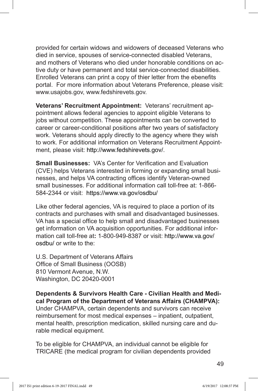provided for certain widows and widowers of deceased Veterans who died in service, spouses of service-connected disabled Veterans, and mothers of Veterans who died under honorable conditions on active duty or have permanent and total service-connected disabilities. Enrolled Veterans can print a copy of thier letter from the ebenefits portal. For more information about Veterans Preference, please visit: www.usajobs.gov, www.fedshirevets.gov.

**Veterans' Recruitment Appointment:** Veterans' recruitment appointment allows federal agencies to appoint eligible Veterans to jobs without competition. These appointments can be converted to career or career-conditional positions after two years of satisfactory work. Veterans should apply directly to the agency where they wish to work. For additional information on Veterans Recruitment Appointment, please visit: http://www.fedshirevets.gov/.

**Small Businesses:** VA's Center for Verification and Evaluation (CVE) helps Veterans interested in forming or expanding small businesses, and helps VA contracting offices identify Veteran-owned small businesses. For additional information call toll-free at: 1-866- 584-2344 or visit: https://www.va.gov/osdbu/

Like other federal agencies, VA is required to place a portion of its contracts and purchases with small and disadvantaged businesses. VA has a special office to help small and disadvantaged businesses get information on VA acquisition opportunities. For additional information call toll-free at**:** 1-800-949-8387 or visit: http://www.va.gov/ osdbu/ or write to the:

U.S. Department of Veterans Affairs Office of Small Business (OOSB) 810 Vermont Avenue, N.W. Washington, DC 20420-0001

**Dependents & Survivors Health Care - Civilian Health and Medical Program of the Department of Veterans Affairs (CHAMPVA):**  Under CHAMPVA, certain dependents and survivors can receive reimbursement for most medical expenses – inpatient, outpatient, mental health, prescription medication, skilled nursing care and durable medical equipment.

To be eligible for CHAMPVA, an individual cannot be eligible for TRICARE (the medical program for civilian dependents provided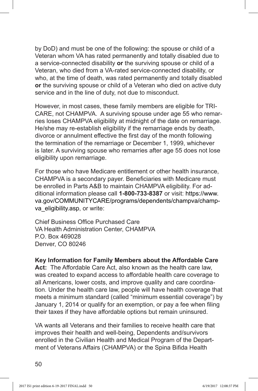by DoD) and must be one of the following: the spouse or child of a Veteran whom VA has rated permanently and totally disabled due to a service-connected disability **or** the surviving spouse or child of a Veteran, who died from a VA-rated service-connected disability, or who, at the time of death, was rated permanently and totally disabled **or** the surviving spouse or child of a Veteran who died on active duty service and in the line of duty, not due to misconduct.

However, in most cases, these family members are eligible for TRI-CARE, not CHAMPVA. A surviving spouse under age 55 who remarries loses CHAMPVA eligibility at midnight of the date on remarriage. He/she may re-establish eligibility if the remarriage ends by death, divorce or annulment effective the first day of the month following the termination of the remarriage or December 1, 1999, whichever is later. A surviving spouse who remarries after age 55 does not lose eligibility upon remarriage.

 ditional information please call **1-800-733-8387** or visit: https://www. For those who have Medicare entitlement or other health insurance, CHAMPVA is a secondary payer. Beneficiaries with Medicare must be enrolled in Parts A&B to maintain CHAMPVA eligibility. For adva.gov/COMMUNITYCARE/programs/dependents/champva/champva\_eligibility.asp, or write:

Chief Business Office Purchased Care VA Health Administration Center, CHAMPVA P.O. Box 469028 Denver, CO 80246

#### **Key Information for Family Members about the Affordable Care**

**Act:** The Affordable Care Act, also known as the health care law, was created to expand access to affordable health care coverage to all Americans, lower costs, and improve quality and care coordination. Under the health care law, people will have health coverage that meets a minimum standard (called "minimum essential coverage") by January 1, 2014 or qualify for an exemption, or pay a fee when filing their taxes if they have affordable options but remain uninsured.

VA wants all Veterans and their families to receive health care that improves their health and well-being, Dependents and/survivors enrolled in the Civilian Health and Medical Program of the Department of Veterans Affairs (CHAMPVA) or the Spina Bifida Health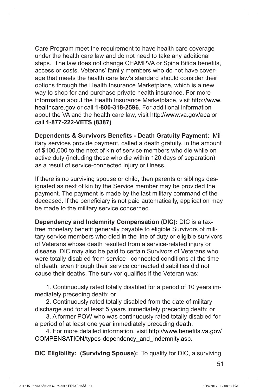Care Program meet the requirement to have health care coverage under the health care law and do not need to take any additional steps. The law does not change CHAMPVA or Spina Bifida benefits, access or costs. Veterans' family members who do not have coverage that meets the health care law's standard should consider their options through the Health Insurance Marketplace, which is a new way to shop for and purchase private health insurance. For more information about the Health Insurance Marketplace, visit http://www. healthcare.gov or call **1-800-318-2596**. For additional information about the VA and the health care law, visit http://www.va.gov/aca or call **1-877-222-VETS (8387)** 

**Dependents & Survivors Benefits - Death Gratuity Payment:** Military services provide payment, called a death gratuity, in the amount of \$100,000 to the next of kin of service members who die while on active duty (including those who die within 120 days of separation) as a result of service-connected injury or illness.

If there is no surviving spouse or child, then parents or siblings designated as next of kin by the Service member may be provided the payment. The payment is made by the last military command of the deceased. If the beneficiary is not paid automatically, application may be made to the military service concerned.

**Dependency and Indemnity Compensation (DIC):** DIC is a taxfree monetary benefit generally payable to eligible Survivors of military service members who died in the line of duty or eligible survivors of Veterans whose death resulted from a service-related injury or disease. DIC may also be paid to certain Survivors of Veterans who were totally disabled from service –connected conditions at the time of death, even though their service connected disabilities did not cause their deaths. The survivor qualifies if the Veteran was:

1. Continuously rated totally disabled for a period of 10 years immediately preceding death; or

2. Continuously rated totally disabled from the date of military discharge and for at least 5 years immediately preceding death; or

3. A former POW who was continuously rated totally disabled for a period of at least one year immediately preceding death.

4. For more detailed information, visit http://www.benefits.va.gov/ COMPENSATION/types-dependency\_and\_indemnity.asp.

**DIC Eligibility: (Surviving Spouse):** To qualify for DIC, a surviving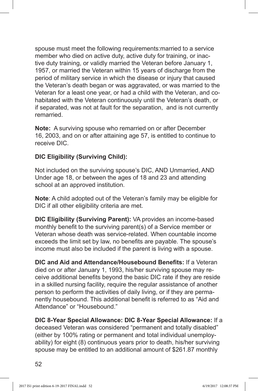spouse must meet the following requirements:married to a service member who died on active duty, active duty for training, or inactive duty training, or validly married the Veteran before January 1, 1957, or married the Veteran within 15 years of discharge from the period of military service in which the disease or injury that caused the Veteran's death began or was aggravated, or was married to the Veteran for a least one year, or had a child with the Veteran, and cohabitated with the Veteran continuously until the Veteran's death, or if separated, was not at fault for the separation, and is not currently remarried.

 **Note:** A surviving spouse who remarried on or after December 16, 2003, and on or after attaining age 57, is entitled to continue to receive DIC.

## **DIC Eligibility (Surviving Child):**

Not included on the surviving spouse's DIC, AND Unmarried, AND Under age 18, or between the ages of 18 and 23 and attending school at an approved institution.

**Note**: A child adopted out of the Veteran's family may be eligible for DIC if all other eligibility criteria are met.

**DIC Eligibility (Surviving Parent):** VA provides an income-based monthly benefit to the surviving parent(s) of a Service member or Veteran whose death was service-related. When countable income exceeds the limit set by law, no benefits are payable. The spouse's income must also be included if the parent is living with a spouse.

**DIC and Aid and Attendance/Housebound Benefits:** If a Veteran died on or after January 1, 1993, his/her surviving spouse may receive additional benefits beyond the basic DIC rate if they are reside in a skilled nursing facility, require the regular assistance of another person to perform the activities of daily living, or if they are permanently housebound. This additional benefit is referred to as "Aid and Attendance" or "Housebound."

**DIC 8-Year Special Allowance: DIC 8-Year Special Allowance:** If a deceased Veteran was considered "permanent and totally disabled" (either by 100% rating or permanent and total individual unemployability) for eight (8) continuous years prior to death, his/her surviving spouse may be entitled to an additional amount of \$261.87 monthly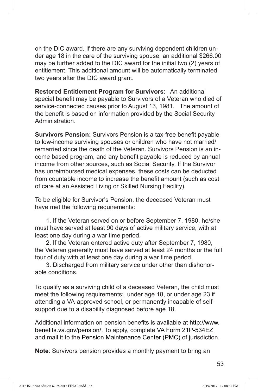on the DIC award. If there are any surviving dependent children under age 18 in the care of the surviving spouse, an additional \$266.00 may be further added to the DIC award for the initial two (2) years of entitlement. This additional amount will be automatically terminated two years after the DIC award grant.

**Restored Entitlement Program for Survivors**: An additional special benefit may be payable to Survivors of a Veteran who died of service-connected causes prior to August 13, 1981. The amount of the benefit is based on information provided by the Social Security Administration.

**Survivors Pension:** Survivors Pension is a tax-free benefit payable to low-income surviving spouses or children who have not married/ remarried since the death of the Veteran. Survivors Pension is an income based program, and any benefit payable is reduced by annual income from other sources, such as Social Security. If the Survivor has unreimbursed medical expenses, these costs can be deducted from countable income to increase the benefit amount (such as cost of care at an Assisted Living or Skilled Nursing Facility).

To be eligible for Survivor's Pension, the deceased Veteran must have met the following requirements:

1. If the Veteran served on or before September 7, 1980, he/she must have served at least 90 days of active military service, with at least one day during a war time period.

2. If the Veteran entered active duty after September 7, 1980, the Veteran generally must have served at least 24 months or the full tour of duty with at least one day during a war time period.

3. Discharged from military service under other than dishonorable conditions.

To qualify as a surviving child of a deceased Veteran, the child must meet the following requirements: under age 18, or under age 23 if attending a VA-approved school, or permanently incapable of selfsupport due to a disability diagnosed before age 18.

Additional information on pension benefits is available at http://www. benefits.va.gov/pension/. To apply, complete VA Form 21P-534EZ and mail it to the Pension Maintenance Center (PMC) of jurisdiction.

**Note**: Survivors pension provides a monthly payment to bring an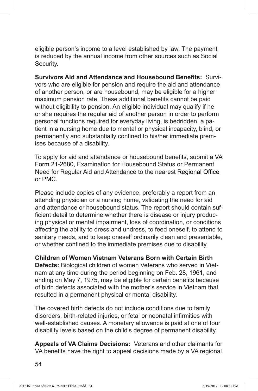eligible person's income to a level established by law. The payment is reduced by the annual income from other sources such as Social Security.

**Survivors Aid and Attendance and Housebound Benefits:** Survivors who are eligible for pension and require the aid and attendance of another person, or are housebound, may be eligible for a higher maximum pension rate. These additional benefits cannot be paid without eligibility to pension. An eligible individual may qualify if he or she requires the regular aid of another person in order to perform personal functions required for everyday living, is bedridden, a patient in a nursing home due to mental or physical incapacity, blind, or permanently and substantially confined to his/her immediate premises because of a disability.

To apply for aid and attendance or housebound benefits, submit a VA Form 21-2680, Examination for Housebound Status or Permanent Need for Regular Aid and Attendance to the nearest Regional Office or PMC.

Please include copies of any evidence, preferably a report from an attending physician or a nursing home, validating the need for aid and attendance or housebound status. The report should contain sufficient detail to determine whether there is disease or injury producing physical or mental impairment, loss of coordination, or conditions affecting the ability to dress and undress, to feed oneself, to attend to sanitary needs, and to keep oneself ordinarily clean and presentable, or whether confined to the immediate premises due to disability.

**Children of Women Vietnam Veterans Born with Certain Birth Defects:** Biological children of women Veterans who served in Vietnam at any time during the period beginning on Feb. 28, 1961, and ending on May 7, 1975, may be eligible for certain benefits because of birth defects associated with the mother's service in Vietnam that resulted in a permanent physical or mental disability.

The covered birth defects do not include conditions due to family disorders, birth-related injuries, or fetal or neonatal infirmities with well-established causes. A monetary allowance is paid at one of four disability levels based on the child's degree of permanent disability.

**Appeals of VA Claims Decisions:** Veterans and other claimants for VA benefits have the right to appeal decisions made by a VA regional

54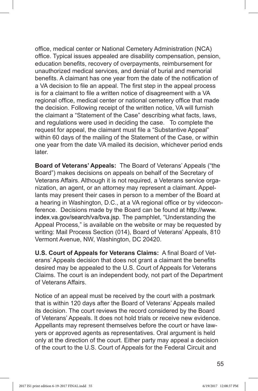office, medical center or National Cemetery Administration (NCA) office. Typical issues appealed are disability compensation, pension, education benefits, recovery of overpayments, reimbursement for unauthorized medical services, and denial of burial and memorial benefits. A claimant has one year from the date of the notification of a VA decision to file an appeal. The first step in the appeal process is for a claimant to file a written notice of disagreement with a VA regional office, medical center or national cemetery office that made the decision. Following receipt of the written notice, VA will furnish the claimant a "Statement of the Case" describing what facts, laws, and regulations were used in deciding the case. To complete the request for appeal, the claimant must file a "Substantive Appeal" within 60 days of the mailing of the Statement of the Case, or within one year from the date VA mailed its decision, whichever period ends later.

**Board of Veterans' Appeals:** The Board of Veterans' Appeals ("the Board") makes decisions on appeals on behalf of the Secretary of Veterans Affairs. Although it is not required, a Veterans service organization, an agent, or an attorney may represent a claimant. Appellants may present their cases in person to a member of the Board at a hearing in Washington, D.C., at a VA regional office or by videoconference. Decisions made by the Board can be found at http://www. index.va.gov/search/va/bva.jsp. The pamphlet, "Understanding the Appeal Process," is available on the website or may be requested by writing: Mail Process Section (014), Board of Veterans' Appeals, 810 Vermont Avenue, NW, Washington, DC 20420.

 **U.S. Court of Appeals for Veterans Claims:** A final Board of Veterans' Appeals decision that does not grant a claimant the benefits desired may be appealed to the U.S. Court of Appeals for Veterans Claims. The court is an independent body, not part of the Department of Veterans Affairs.

Notice of an appeal must be received by the court with a postmark that is within 120 days after the Board of Veterans' Appeals mailed its decision. The court reviews the record considered by the Board of Veterans' Appeals. It does not hold trials or receive new evidence. Appellants may represent themselves before the court or have lawyers or approved agents as representatives. Oral argument is held only at the direction of the court. Either party may appeal a decision of the court to the U.S. Court of Appeals for the Federal Circuit and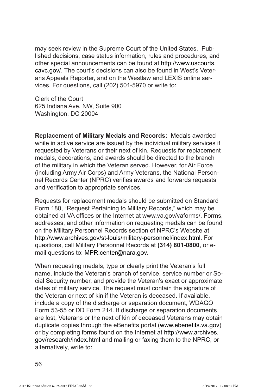may seek review in the Supreme Court of the United States. Published decisions, case status information, rules and procedures, and other special announcements can be found at http://www.uscourts. cavc.gov/. The court's decisions can also be found in West's Veterans Appeals Reporter, and on the Westlaw and LEXIS online services. For questions, call (202) 501-5970 or write to:

Clerk of the Court 625 Indiana Ave. NW, Suite 900 Washington, DC 20004

**Replacement of Military Medals and Records:** Medals awarded while in active service are issued by the individual military services if requested by Veterans or their next of kin. Requests for replacement medals, decorations, and awards should be directed to the branch of the military in which the Veteran served. However, for Air Force (including Army Air Corps) and Army Veterans, the National Personnel Records Center (NPRC) verifies awards and forwards requests and verification to appropriate services.

Requests for replacement medals should be submitted on Standard Form 180, "Request Pertaining to Military Records," which may be obtained at VA offices or the Internet at www.va.gov/vaforms/. Forms, addresses, and other information on requesting medals can be found on the Military Personnel Records section of NPRC's Website at http://www.archives.gov/st-louis/military-personnel/index.html. For questions, call Military Personnel Records at **(314) 801-0800**, or email questions to: MPR.center@nara.gov.

When requesting medals, type or clearly print the Veteran's full name, include the Veteran's branch of service, service number or Social Security number, and provide the Veteran's exact or approximate dates of military service. The request must contain the signature of the Veteran or next of kin if the Veteran is deceased. If available, include a copy of the discharge or separation document, WDAGO Form 53-55 or DD Form 214. If discharge or separation documents are lost, Veterans or the next of kin of deceased Veterans may obtain duplicate copies through the eBenefits portal (www.ebenefits.va.gov) or by completing forms found on the Internet at http://www.archives. gov/research/index.html and mailing or faxing them to the NPRC, or alternatively, write to: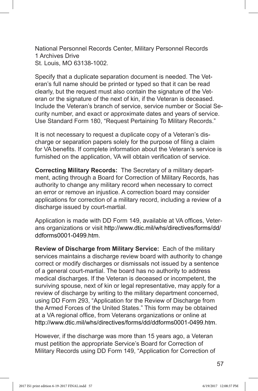National Personnel Records Center, Military Personnel Records 1 Archives Drive St. Louis, MO 63138-1002.

Specify that a duplicate separation document is needed. The Veteran's full name should be printed or typed so that it can be read clearly, but the request must also contain the signature of the Veteran or the signature of the next of kin, if the Veteran is deceased. Include the Veteran's branch of service, service number or Social Security number, and exact or approximate dates and years of service. Use Standard Form 180, "Request Pertaining To Military Records."

It is not necessary to request a duplicate copy of a Veteran's discharge or separation papers solely for the purpose of filing a claim for VA benefits. If complete information about the Veteran's service is furnished on the application, VA will obtain verification of service.

**Correcting Military Records:** The Secretary of a military department, acting through a Board for Correction of Military Records, has authority to change any military record when necessary to correct an error or remove an injustice. A correction board may consider applications for correction of a military record, including a review of a discharge issued by court-martial.

Application is made with DD Form 149, available at VA offices, Veterans organizations or visit http://www.dtic.mil/whs/directives/forms/dd/ ddforms0001-0499.htm.

**Review of Discharge from Military Service:** Each of the military services maintains a discharge review board with authority to change correct or modify discharges or dismissals not issued by a sentence of a general court-martial. The board has no authority to address medical discharges. If the Veteran is deceased or incompetent, the surviving spouse, next of kin or legal representative, may apply for a review of discharge by writing to the military department concerned, using DD Form 293, "Application for the Review of Discharge from the Armed Forces of the United States." This form may be obtained at a VA regional office, from Veterans organizations or online at http://www.dtic.mil/whs/directives/forms/dd/ddforms0001-0499.htm.

However, if the discharge was more than 15 years ago, a Veteran must petition the appropriate Service's Board for Correction of Military Records using DD Form 149, "Application for Correction of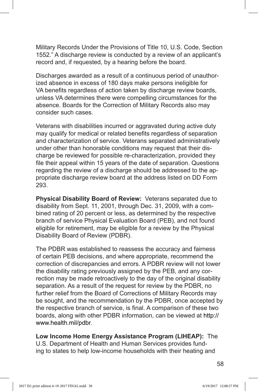Military Records Under the Provisions of Title 10, U.S. Code, Section 1552." A discharge review is conducted by a review of an applicant's record and, if requested, by a hearing before the board.

Discharges awarded as a result of a continuous period of unauthorized absence in excess of 180 days make persons ineligible for VA benefits regardless of action taken by discharge review boards, unless VA determines there were compelling circumstances for the absence. Boards for the Correction of Military Records also may consider such cases.

Veterans with disabilities incurred or aggravated during active duty may qualify for medical or related benefits regardless of separation and characterization of service. Veterans separated administratively under other than honorable conditions may request that their discharge be reviewed for possible re-characterization, provided they file their appeal within 15 years of the date of separation. Questions regarding the review of a discharge should be addressed to the appropriate discharge review board at the address listed on DD Form 293.

**Physical Disability Board of Review:** Veterans separated due to disability from Sept. 11, 2001, through Dec. 31, 2009, with a combined rating of 20 percent or less, as determined by the respective branch of service Physical Evaluation Board (PEB), and not found eligible for retirement, may be eligible for a review by the Physical Disability Board of Review (PDBR).

The PDBR was established to reassess the accuracy and fairness of certain PEB decisions, and where appropriate, recommend the correction of discrepancies and errors. A PDBR review will not lower the disability rating previously assigned by the PEB, and any correction may be made retroactively to the day of the original disability separation. As a result of the request for review by the PDBR, no further relief from the Board of Corrections of Military Records may be sought, and the recommendation by the PDBR, once accepted by the respective branch of service, is final. A comparison of these two boards, along with other PDBR information, can be viewed at http:// www.health.mil/pdbr.

**Low Income Home Energy Assistance Program (LIHEAP):** The U.S. Department of Health and Human Services provides funding to states to help low-income households with their heating and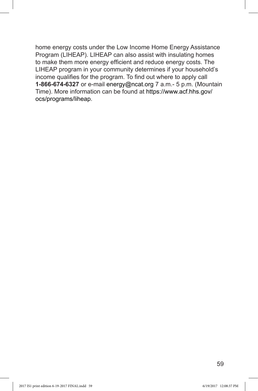home energy costs under the Low Income Home Energy Assistance Program (LIHEAP). LIHEAP can also assist with insulating homes to make them more energy efficient and reduce energy costs. The LIHEAP program in your community determines if your household's income qualifies for the program. To find out where to apply call **1-866-674-6327** or e-mail energy@ncat.org 7 a.m.- 5 p.m. (Mountain Time). More information can be found at https://www.acf.hhs.gov/ ocs/programs/liheap.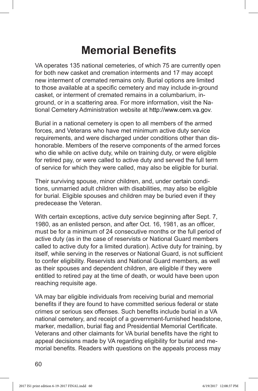# **Memorial Benefits**

VA operates 135 national cemeteries, of which 75 are currently open for both new casket and cremation interments and 17 may accept new interment of cremated remains only. Burial options are limited to those available at a specific cemetery and may include in-ground casket, or interment of cremated remains in a columbarium, inground, or in a scattering area. For more information, visit the National Cemetery Administration website at http://www.cem.va.gov.

Burial in a national cemetery is open to all members of the armed forces, and Veterans who have met minimum active duty service requirements, and were discharged under conditions other than dishonorable. Members of the reserve components of the armed forces who die while on active duty, while on training duty, or were eligible for retired pay, or were called to active duty and served the full term of service for which they were called, may also be eligible for burial.

Their surviving spouse, minor children, and, under certain conditions, unmarried adult children with disabilities, may also be eligible for burial. Eligible spouses and children may be buried even if they predecease the Veteran.

With certain exceptions, active duty service beginning after Sept. 7, 1980, as an enlisted person, and after Oct. 16, 1981, as an officer, must be for a minimum of 24 consecutive months or the full period of active duty (as in the case of reservists or National Guard members called to active duty for a limited duration). Active duty for training, by itself, while serving in the reserves or National Guard, is not sufficient to confer eligibility. Reservists and National Guard members, as well as their spouses and dependent children, are eligible if they were entitled to retired pay at the time of death, or would have been upon reaching requisite age.

VA may bar eligible individuals from receiving burial and memorial benefits if they are found to have committed serious federal or state crimes or serious sex offenses. Such benefits include burial in a VA national cemetery, and receipt of a government-furnished headstone, marker, medallion, burial flag and Presidential Memorial Certificate. Veterans and other claimants for VA burial benefits have the right to appeal decisions made by VA regarding eligibility for burial and memorial benefits. Readers with questions on the appeals process may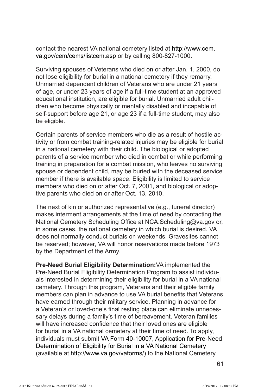contact the nearest VA national cemetery listed at http://www.cem. va.gov/cem/cems/listcem.asp or by calling 800-827-1000.

Surviving spouses of Veterans who died on or after Jan. 1, 2000, do not lose eligibility for burial in a national cemetery if they remarry. Unmarried dependent children of Veterans who are under 21 years of age, or under 23 years of age if a full-time student at an approved educational institution, are eligible for burial. Unmarried adult children who become physically or mentally disabled and incapable of self-support before age 21, or age 23 if a full-time student, may also be eligible.

Certain parents of service members who die as a result of hostile activity or from combat training-related injuries may be eligible for burial in a national cemetery with their child. The biological or adopted parents of a service member who died in combat or while performing training in preparation for a combat mission, who leaves no surviving spouse or dependent child, may be buried with the deceased service member if there is available space. Eligibility is limited to service members who died on or after Oct. 7, 2001, and biological or adoptive parents who died on or after Oct. 13, 2010.

The next of kin or authorized representative (e.g., funeral director) makes interment arrangements at the time of need by contacting the National Cemetery Scheduling Office at NCA.Scheduling@va.gov or, in some cases, the national cemetery in which burial is desired. VA does not normally conduct burials on weekends. Gravesites cannot be reserved; however, VA will honor reservations made before 1973 by the Department of the Army.

**Pre-Need Burial Eligibility Determination:**VA implemented the Pre-Need Burial Eligibility Determination Program to assist individuals interested in determining their eligibility for burial in a VA national cemetery. Through this program, Veterans and their eligible family members can plan in advance to use VA burial benefits that Veterans have earned through their military service. Planning in advance for a Veteran's or loved-one's final resting place can eliminate unnecessary delays during a family's time of bereavement. Veteran families will have increased confidence that their loved ones are eligible for burial in a VA national cemetery at their time of need. To apply, individuals must submit VA Form 40-10007, Application for Pre-Need Determination of Eligibility for Burial in a VA National Cemetery (available at http://www.va.gov/vaforms/) to the National Cemetery

61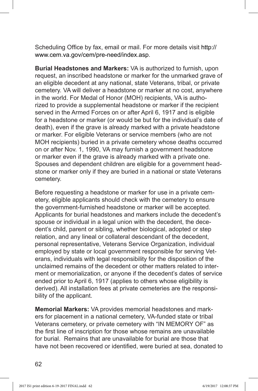Scheduling Office by fax, email or mail. For more details visit http:// www.cem.va.gov/cem/pre-need/index.asp.

**Burial Headstones and Markers:** VA is authorized to furnish, upon request, an inscribed headstone or marker for the unmarked grave of an eligible decedent at any national, state Veterans, tribal, or private cemetery. VA will deliver a headstone or marker at no cost, anywhere in the world. For Medal of Honor (MOH) recipients, VA is authorized to provide a supplemental headstone or marker if the recipient served in the Armed Forces on or after April 6, 1917 and is eligible for a headstone or marker (or would be but for the individual's date of death), even if the grave is already marked with a private headstone or marker. For eligible Veterans or service members (who are not MOH recipients) buried in a private cemetery whose deaths occurred on or after Nov. 1, 1990, VA may furnish a government headstone or marker even if the grave is already marked with a private one. Spouses and dependent children are eligible for a government headstone or marker only if they are buried in a national or state Veterans cemetery.

Before requesting a headstone or marker for use in a private cemetery, eligible applicants should check with the cemetery to ensure the government-furnished headstone or marker will be accepted. Applicants for burial headstones and markers include the decedent's spouse or individual in a legal union with the decedent, the decedent's child, parent or sibling, whether biological, adopted or step relation, and any lineal or collateral descendant of the decedent, personal representative, Veterans Service Organization, individual employed by state or local government responsible for serving Veterans, individuals with legal responsibility for the disposition of the unclaimed remains of the decedent or other matters related to interment or memorialization, or anyone if the decedent's dates of service ended prior to April 6, 1917 (applies to others whose eligibility is derived). All installation fees at private cemeteries are the responsibility of the applicant.

**Memorial Markers:** VA provides memorial headstones and markers for placement in a national cemetery, VA-funded state or tribal Veterans cemetery, or private cemetery with "IN MEMORY OF" as the first line of inscription for those whose remains are unavailable for burial. Remains that are unavailable for burial are those that have not been recovered or identified, were buried at sea, donated to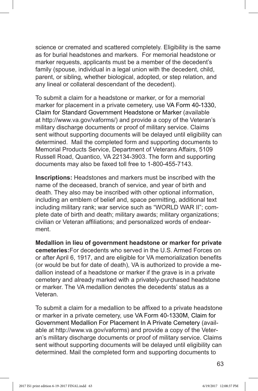science or cremated and scattered completely. Eligibility is the same as for burial headstones and markers. For memorial headstone or marker requests, applicants must be a member of the decedent's family (spouse, individual in a legal union with the decedent, child, parent, or sibling, whether biological, adopted, or step relation, and any lineal or collateral descendant of the decedent).

To submit a claim for a headstone or marker, or for a memorial marker for placement in a private cemetery, use VA Form 40-1330, Claim for Standard Government Headstone or Marker (available at http://www.va.gov/vaforms/) and provide a copy of the Veteran's military discharge documents or proof of military service. Claims sent without supporting documents will be delayed until eligibility can determined. Mail the completed form and supporting documents to Memorial Products Service, Department of Veterans Affairs, 5109 Russell Road, Quantico, VA 22134-3903. The form and supporting documents may also be faxed toll free to 1-800-455-7143.

**Inscriptions:** Headstones and markers must be inscribed with the name of the deceased, branch of service, and year of birth and death. They also may be inscribed with other optional information, including an emblem of belief and, space permitting, additional text including military rank; war service such as "WORLD WAR II"; complete date of birth and death; military awards; military organizations; civilian or Veteran affiliations; and personalized words of endearment.

**Medallion in lieu of government headstone or marker for private cemeteries:**For decedents who served in the U.S. Armed Forces on or after April 6, 1917, and are eligible for VA memorialization benefits (or would be but for date of death), VA is authorized to provide a medallion instead of a headstone or marker if the grave is in a private cemetery and already marked with a privately-purchased headstone or marker. The VA medallion denotes the decedents' status as a Veteran.

To submit a claim for a medallion to be affixed to a private headstone or marker in a private cemetery, use VA Form 40-1330M, Claim for Government Medallion For Placement In A Private Cemetery (available at http://www.va.gov/vaforms) and provide a copy of the Veteran's military discharge documents or proof of military service. Claims sent without supporting documents will be delayed until eligibility can determined. Mail the completed form and supporting documents to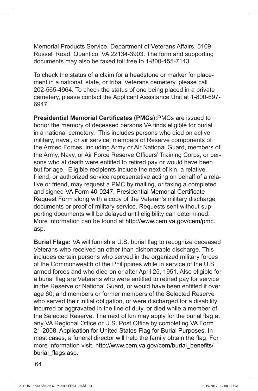Memorial Products Service, Department of Veterans Affairs, 5109 Russell Road, Quantico, VA 22134-3903. The form and supporting documents may also be faxed toll free to 1-800-455-7143.

To check the status of a claim for a headstone or marker for placement in a national, state, or tribal Veterans cemetery, please call 202-565-4964. To check the status of one being placed in a private cemetery, please contact the Applicant Assistance Unit at 1-800-697- 6947.

**Presidential Memorial Certificates (PMCs):**PMCs are issued to honor the memory of deceased persons VA finds eligible for burial in a national cemetery. This includes persons who died on active military, naval, or air service, members of Reserve components of the Armed Forces, including Army or Air National Guard, members of the Army, Navy, or Air Force Reserve Officers' Training Corps, or persons who at death were entitled to retired pay or would have been but for age. Eligible recipients include the next of kin, a relative, friend, or authorized service representative acting on behalf of a relative or friend, may request a PMC by mailing, or faxing a completed and signed VA Form 40-0247, Presidential Memorial Certificate Request Form along with a copy of the Veteran's military discharge documents or proof of military service. Requests sent without supporting documents will be delayed until eligibility can determined. More information can be found at http://www.cem.va.gov/cem/pmc. asp.

**Burial Flags:** VA will furnish a U.S. burial flag to recognize deceased Veterans who received an other than dishonorable discharge. This includes certain persons who served in the organized military forces of the Commonwealth of the Philippines while in service of the U.S armed forces and who died on or after April 25, 1951. Also eligible for a burial flag are Veterans who were entitled to retired pay for service in the Reserve or National Guard, or would have been entitled if over age 60; and members or former members of the Selected Reserve who served their initial obligation, or were discharged for a disability incurred or aggravated in the line of duty, or died while a member of the Selected Reserve. The next of kin may apply for the burial flag at any VA Regional Office or U.S. Post Office by completing VA Form 21-2008, Application for United States Flag for Burial Purposes. In most cases, a funeral director will help the family obtain the flag. For more information visit, http://www.cem.va.gov/cem/burial\_benefits/ burial flags.asp.

 $64$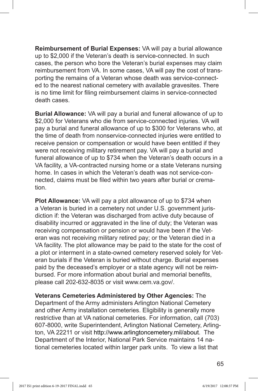**Reimbursement of Burial Expenses:** VA will pay a burial allowance up to \$2,000 if the Veteran's death is service-connected. In such cases, the person who bore the Veteran's burial expenses may claim reimbursement from VA. In some cases, VA will pay the cost of transporting the remains of a Veteran whose death was service-connected to the nearest national cemetery with available gravesites. There is no time limit for filing reimbursement claims in service-connected death cases.

**Burial Allowance:** VA will pay a burial and funeral allowance of up to \$2,000 for Veterans who die from service-connected injuries. VA will pay a burial and funeral allowance of up to \$300 for Veterans who, at the time of death from nonservice-connected injuries were entitled to receive pension or compensation or would have been entitled if they were not receiving military retirement pay. VA will pay a burial and funeral allowance of up to \$734 when the Veteran's death occurs in a VA facility, a VA-contracted nursing home or a state Veterans nursing home. In cases in which the Veteran's death was not service-connected, claims must be filed within two years after burial or cremation.

**Plot Allowance:** VA will pay a plot allowance of up to \$734 when a Veteran is buried in a cemetery not under U.S. government jurisdiction if: the Veteran was discharged from active duty because of disability incurred or aggravated in the line of duty; the Veteran was receiving compensation or pension or would have been if the Veteran was not receiving military retired pay; or the Veteran died in a VA facility. The plot allowance may be paid to the state for the cost of a plot or interment in a state-owned cemetery reserved solely for Veteran burials if the Veteran is buried without charge. Burial expenses paid by the deceased's employer or a state agency will not be reimbursed. For more information about burial and memorial benefits, please call 202-632-8035 or visit www.cem.va.gov/.

**Veterans Cemeteries Administered by Other Agencies:** The Department of the Army administers Arlington National Cemetery and other Army installation cemeteries. Eligibility is generally more restrictive than at VA national cemeteries. For information, call (703) 607-8000, write Superintendent, Arlington National Cemetery, Arlington, VA 22211 or visit http://www.arlingtoncemetery.mil/about. The Department of the Interior, National Park Service maintains 14 national cemeteries located within larger park units. To view a list that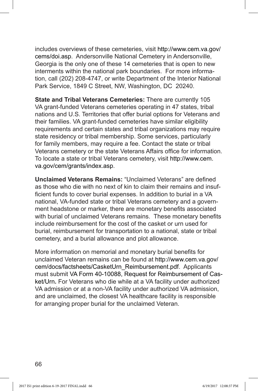includes overviews of these cemeteries, visit http://www.cem.va.gov/ cems/doi.asp. Andersonville National Cemetery in Andersonville, Georgia is the only one of these 14 cemeteries that is open to new interments within the national park boundaries. For more information, call (202) 208-4747, or write Department of the Interior National Park Service, 1849 C Street, NW, Washington, DC 20240.

**State and Tribal Veterans Cemeteries:** There are currently 105 VA grant-funded Veterans cemeteries operating in 47 states, tribal nations and U.S. Territories that offer burial options for Veterans and their families. VA grant-funded cemeteries have similar eligibility requirements and certain states and tribal organizations may require state residency or tribal membership. Some services, particularly for family members, may require a fee. Contact the state or tribal Veterans cemetery or the state Veterans Affairs office for information. To locate a state or tribal Veterans cemetery, visit http://www.cem. va.gov/cem/grants/index.asp.

**Unclaimed Veterans Remains:** "Unclaimed Veterans" are defined as those who die with no next of kin to claim their remains and insufficient funds to cover burial expenses. In addition to burial in a VA national, VA-funded state or tribal Veterans cemetery and a government headstone or marker, there are monetary benefits associated with burial of unclaimed Veterans remains. These monetary benefits include reimbursement for the cost of the casket or urn used for burial, reimbursement for transportation to a national, state or tribal cemetery, and a burial allowance and plot allowance.

More information on memorial and monetary burial benefits for unclaimed Veteran remains can be found at http://www.cem.va.gov/ cem/docs/factsheets/CasketUrn\_Reimbursement.pdf. Applicants must submit VA Form 40-10088, Request for Reimbursement of Casket/Urn**.** For Veterans who die while at a VA facility under authorized VA admission or at a non-VA facility under authorized VA admission, and are unclaimed, the closest VA healthcare facility is responsible for arranging proper burial for the unclaimed Veteran.